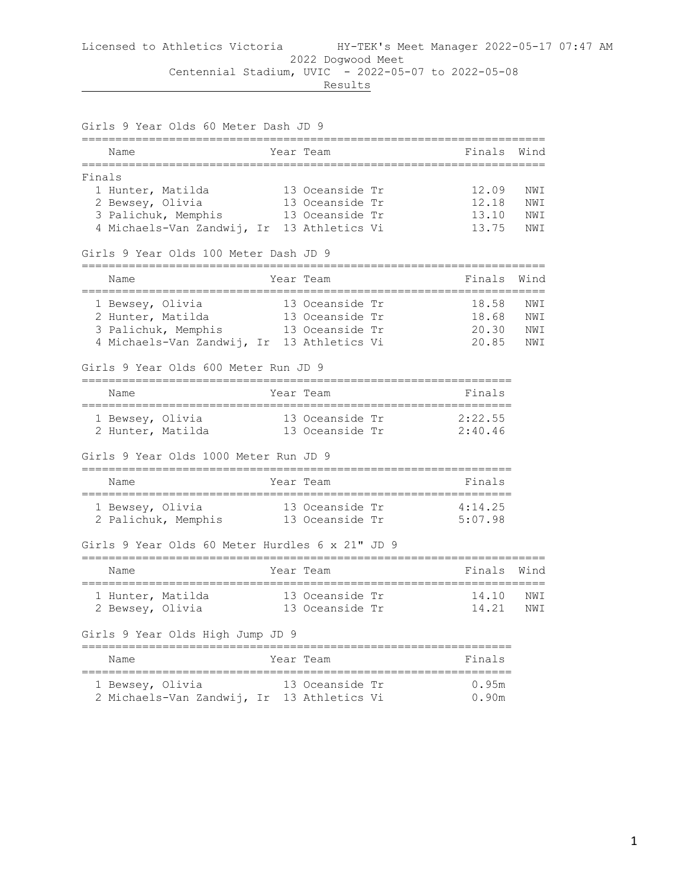|        | Girls 9 Year Olds 60 Meter Dash JD 9<br>-----------------                     |                 |           |      |
|--------|-------------------------------------------------------------------------------|-----------------|-----------|------|
|        | Name                                                                          | Year Team       | Finals    | Wind |
| Finals |                                                                               |                 |           |      |
|        | 1 Hunter, Matilda                                                             | 13 Oceanside Tr | 12.09     | NWI  |
|        | 2 Bewsey, Olivia                                                              | 13 Oceanside Tr | 12.18     | NWI  |
|        | 3 Palichuk, Memphis                                                           | 13 Oceanside Tr | 13.10     | NWI  |
|        | 4 Michaels-Van Zandwij, Ir 13 Athletics Vi                                    |                 | 13.75     | NWI  |
|        | Girls 9 Year Olds 100 Meter Dash JD 9<br>==================================== |                 |           |      |
|        | Name                                                                          | Year Team       | Finals    | Wind |
|        | 1 Bewsey, Olivia                                                              | 13 Oceanside Tr | 18.58     | NWI  |
|        | 2 Hunter, Matilda                                                             | 13 Oceanside Tr | 18.68     | NWI  |
|        | 3 Palichuk, Memphis 13 Oceanside Tr                                           |                 | 20.30 NWI |      |
|        | 4 Michaels-Van Zandwij, Ir 13 Athletics Vi                                    |                 | 20.85 NWI |      |
|        | Girls 9 Year Olds 600 Meter Run JD 9                                          |                 |           |      |
|        | Name                                                                          | Year Team       | Finals    |      |
|        | 1 Bewsey, Olivia                                                              | 13 Oceanside Tr | 2:22.55   |      |
|        | 2 Hunter, Matilda                                                             | 13 Oceanside Tr | 2:40.46   |      |
|        | Girls 9 Year Olds 1000 Meter Run JD 9                                         |                 |           |      |
|        | Name                                                                          | Year Team       | Finals    |      |
|        | 1 Bewsey, Olivia                                                              | 13 Oceanside Tr | 4:14.25   |      |
|        | 2 Palichuk, Memphis 13 Oceanside Tr 5:07.98                                   |                 |           |      |
|        | Girls 9 Year Olds 60 Meter Hurdles 6 x 21" JD 9                               |                 |           |      |
|        | Name                                                                          | Year Team       | Finals    | Wind |
|        | 1 Hunter, Matilda                                                             | 13 Oceanside Tr | 14.10 NWI |      |
|        | 2 Bewsey, Olivia 13 Oceanside Tr                                              |                 | 14.21 NWI |      |
|        | Girls 9 Year Olds High Jump JD 9                                              |                 |           |      |
|        | Name                                                                          | Year Team       | Finals    |      |
|        | 1 Bewsey, Olivia                                                              | 13 Oceanside Tr | 0.95m     |      |

2 Michaels-Van Zandwij, Ir 13 Athletics Vi 0.90m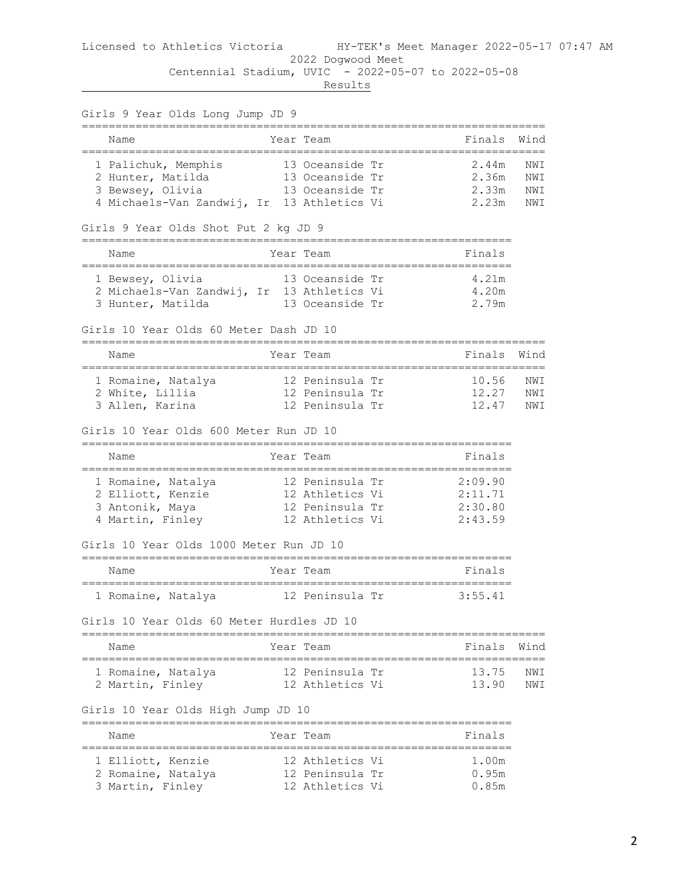# Licensed to Athletics Victoria HY-TEK's Meet Manager 2022-05-17 07:47 AM 2022 Dogwood Meet

 Centennial Stadium, UVIC - 2022-05-07 to 2022-05-08 **Results** 

| Girls 9 Year Olds Long Jump JD 9                                                                      |           |                                                                          |                                          |                    |
|-------------------------------------------------------------------------------------------------------|-----------|--------------------------------------------------------------------------|------------------------------------------|--------------------|
| --------------------------------<br>Name                                                              |           | Year Team                                                                | Finals                                   | Wind               |
| =====================================<br>1 Palichuk, Memphis<br>2 Hunter, Matilda<br>3 Bewsey, Olivia |           | 13 Oceanside Tr<br>13 Oceanside Tr<br>13 Oceanside Tr                    | 2.44m<br>2.36m<br>2.33m                  | NW T<br>NWI<br>NWI |
| 4 Michaels-Van Zandwij, Ir 13 Athletics Vi<br>Girls 9 Year Olds Shot Put 2 kg JD 9                    |           |                                                                          | 2.23m                                    | NWI                |
| Name                                                                                                  |           | Year Team                                                                | Finals                                   |                    |
| 1 Bewsey, Olivia<br>2 Michaels-Van Zandwij, Ir 13 Athletics Vi<br>3 Hunter, Matilda                   |           | 13 Oceanside Tr<br>13 Oceanside Tr                                       | 4.21m<br>4.20m<br>2.79m                  |                    |
| Girls 10 Year Olds 60 Meter Dash JD 10                                                                |           |                                                                          |                                          |                    |
| Name<br>========================                                                                      | _________ | Year Team                                                                | Finals                                   | Wind               |
| 1 Romaine, Natalya<br>2 White, Lillia<br>3 Allen, Karina                                              |           | 12 Peninsula Tr<br>12 Peninsula Tr<br>12 Peninsula Tr                    | 10.56<br>12.27<br>12.47                  | NWI<br>NWI<br>NWI  |
| Girls 10 Year Olds 600 Meter Run JD 10                                                                |           |                                                                          |                                          |                    |
| Name                                                                                                  |           | Year Team                                                                | Finals                                   |                    |
| 1 Romaine, Natalya<br>2 Elliott, Kenzie<br>3 Antonik, Maya<br>4 Martin, Finley                        |           | 12 Peninsula Tr<br>12 Athletics Vi<br>12 Peninsula Tr<br>12 Athletics Vi | 2:09.90<br>2:11.71<br>2:30.80<br>2:43.59 |                    |
| Girls 10 Year Olds 1000 Meter Run JD 10                                                               |           |                                                                          |                                          |                    |
| Name                                                                                                  |           | Year Team                                                                | Finals                                   |                    |
| 1 Romaine, Natalya                                                                                    |           | 12 Peninsula Tr                                                          | 3:55.41                                  |                    |
| Girls 10 Year Olds 60 Meter Hurdles JD 10                                                             |           |                                                                          |                                          |                    |
| Name                                                                                                  |           | Year Team                                                                | Finals                                   | Wind               |
| ===================<br>1 Romaine, Natalya<br>2 Martin, Finley                                         |           | 12 Peninsula Tr<br>12 Athletics Vi                                       | 13.75<br>13.90                           | NWI<br>NWI         |
| Girls 10 Year Olds High Jump JD 10                                                                    |           |                                                                          |                                          |                    |
| Name                                                                                                  |           | Year Team                                                                | Finals                                   |                    |
| --------------------<br>1 Elliott, Kenzie<br>2 Romaine, Natalya                                       |           | 12 Athletics Vi<br>12 Peninsula Tr                                       | -----------<br>1.00m<br>0.95m            |                    |

3 Martin, Finley 12 Athletics Vi 0.85m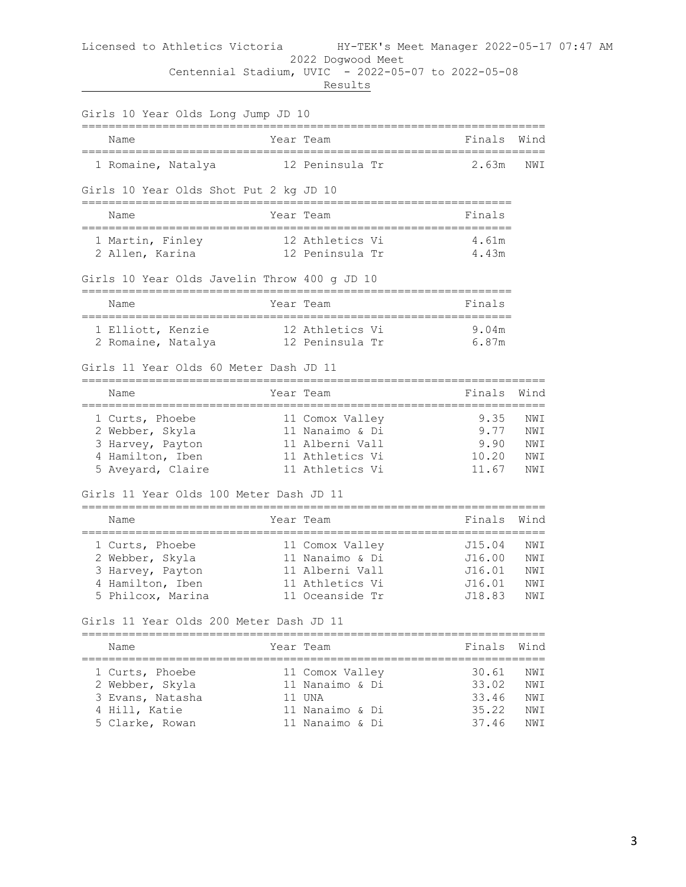## Licensed to Athletics Victoria HY-TEK's Meet Manager 2022-05-17 07:47 AM 2022 Dogwood Meet

Centennial Stadium, UVIC - 2022-05-07 to 2022-05-08

| Girls 10 Year Olds Long Jump JD 10<br>-------------                                             |            |                                                                                             | ________                                       |                                 |
|-------------------------------------------------------------------------------------------------|------------|---------------------------------------------------------------------------------------------|------------------------------------------------|---------------------------------|
| Name                                                                                            |            | Year Team                                                                                   | Finals                                         | Wind                            |
| 1 Romaine, Natalya                                                                              |            | 12 Peninsula Tr                                                                             | 2.63m                                          | NWI                             |
| Girls 10 Year Olds Shot Put 2 kg JD 10                                                          |            |                                                                                             |                                                |                                 |
| Name                                                                                            |            | Year Team                                                                                   | Finals                                         |                                 |
| 1 Martin, Finley<br>2 Allen, Karina                                                             |            | 12 Athletics Vi<br>12 Peninsula Tr                                                          | 4.61m<br>4.43m                                 |                                 |
| Girls 10 Year Olds Javelin Throw 400 g JD 10                                                    |            |                                                                                             |                                                |                                 |
| Name                                                                                            |            | Year Team<br>=======================                                                        | Finals                                         |                                 |
| 1 Elliott, Kenzie<br>2 Romaine, Natalya                                                         |            | 12 Athletics Vi<br>12 Peninsula Tr                                                          | 9.04m<br>6.87m                                 |                                 |
| Girls 11 Year Olds 60 Meter Dash JD 11                                                          |            |                                                                                             |                                                |                                 |
| Name                                                                                            | ---------- | Year Team                                                                                   | Finals<br>-------------                        | Wind                            |
| 1 Curts, Phoebe<br>2 Webber, Skyla<br>3 Harvey, Payton<br>4 Hamilton, Iben<br>5 Aveyard, Claire |            | 11 Comox Valley<br>11 Nanaimo & Di<br>11 Alberni Vall<br>11 Athletics Vi<br>11 Athletics Vi | 9.35<br>9.77<br>9.90<br>10.20<br>11.67         | NWI<br>NWI<br>NWI<br>NWI<br>NWI |
| Girls 11 Year Olds 100 Meter Dash JD 11                                                         |            |                                                                                             |                                                |                                 |
| Name                                                                                            |            | Year Team                                                                                   | Finals                                         | Wind                            |
| 1 Curts, Phoebe<br>2 Webber, Skyla<br>3 Harvey, Payton<br>4 Hamilton, Iben<br>5 Philcox, Marina |            | 11 Comox Valley<br>11 Nanaimo & Di<br>11 Alberni Vall<br>11 Athletics Vi<br>11 Oceanside Tr | J15.04<br>J16.00<br>J16.01<br>J16.01<br>J18.83 | NWI<br>NWI<br>NWI<br>NWI<br>NWI |
| Girls 11 Year Olds 200 Meter Dash JD 11                                                         |            |                                                                                             |                                                |                                 |
| Name                                                                                            |            | Year Team                                                                                   | Finals                                         | Wind                            |
| 1 Curts, Phoebe<br>2 Webber, Skyla<br>3 Evans, Natasha<br>4 Hill, Katie<br>5 Clarke, Rowan      |            | 11 Comox Valley<br>11 Nanaimo & Di<br>11 UNA<br>11 Nanaimo & Di<br>11 Nanaimo & Di          | 30.61<br>33.02<br>33.46<br>35.22<br>37.46      | NWI<br>NWI<br>NWI<br>NWI<br>NWI |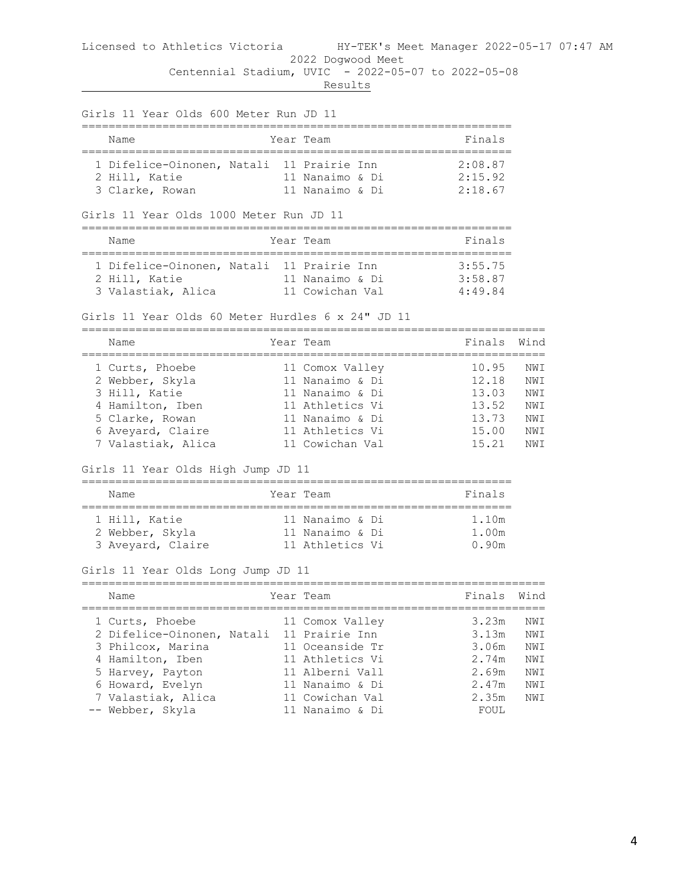**Results** 

|                                        | Finals                                                                                                                                                                                                                                                                                                                                                                                                                                                                                                                                                                                                                                                                                                                                                                           |                                                                                                                                             |
|----------------------------------------|----------------------------------------------------------------------------------------------------------------------------------------------------------------------------------------------------------------------------------------------------------------------------------------------------------------------------------------------------------------------------------------------------------------------------------------------------------------------------------------------------------------------------------------------------------------------------------------------------------------------------------------------------------------------------------------------------------------------------------------------------------------------------------|---------------------------------------------------------------------------------------------------------------------------------------------|
|                                        | 2:18.67                                                                                                                                                                                                                                                                                                                                                                                                                                                                                                                                                                                                                                                                                                                                                                          |                                                                                                                                             |
|                                        |                                                                                                                                                                                                                                                                                                                                                                                                                                                                                                                                                                                                                                                                                                                                                                                  |                                                                                                                                             |
|                                        | Finals                                                                                                                                                                                                                                                                                                                                                                                                                                                                                                                                                                                                                                                                                                                                                                           |                                                                                                                                             |
|                                        | 3:55.75<br>3:58.87                                                                                                                                                                                                                                                                                                                                                                                                                                                                                                                                                                                                                                                                                                                                                               |                                                                                                                                             |
|                                        |                                                                                                                                                                                                                                                                                                                                                                                                                                                                                                                                                                                                                                                                                                                                                                                  |                                                                                                                                             |
|                                        |                                                                                                                                                                                                                                                                                                                                                                                                                                                                                                                                                                                                                                                                                                                                                                                  | Wind                                                                                                                                        |
| 4 Hamilton, Iben<br>7 Valastiak, Alica | 12.18<br>15.21                                                                                                                                                                                                                                                                                                                                                                                                                                                                                                                                                                                                                                                                                                                                                                   | NWI<br>NWI<br>NWI<br>NWI<br>NWI<br>NWI                                                                                                      |
|                                        |                                                                                                                                                                                                                                                                                                                                                                                                                                                                                                                                                                                                                                                                                                                                                                                  |                                                                                                                                             |
|                                        | Finals                                                                                                                                                                                                                                                                                                                                                                                                                                                                                                                                                                                                                                                                                                                                                                           |                                                                                                                                             |
|                                        | 1.10m<br>1.00m<br>0.90 <sub>m</sub>                                                                                                                                                                                                                                                                                                                                                                                                                                                                                                                                                                                                                                                                                                                                              |                                                                                                                                             |
|                                        |                                                                                                                                                                                                                                                                                                                                                                                                                                                                                                                                                                                                                                                                                                                                                                                  |                                                                                                                                             |
|                                        |                                                                                                                                                                                                                                                                                                                                                                                                                                                                                                                                                                                                                                                                                                                                                                                  | Wind                                                                                                                                        |
| 2 Difelice-Oinonen, Natali             | 3.23m<br>3.13m<br>3.06m<br>2.74m<br>2.69m<br>2.47m<br>2.35m<br>FOUL                                                                                                                                                                                                                                                                                                                                                                                                                                                                                                                                                                                                                                                                                                              | NWI<br>NWI<br>NWI<br>NWI<br>NWI<br>NWI<br>NWI                                                                                               |
|                                        | Girls 11 Year Olds 600 Meter Run JD 11<br>Year Team<br>11 Nanaimo & Di<br>11 Nanaimo & Di<br>Girls 11 Year Olds 1000 Meter Run JD 11<br>Year Team<br>1 Difelice-Oinonen, Natali 11 Prairie Inn<br>11 Nanaimo & Di<br>Girls 11 Year Olds 60 Meter Hurdles 6 x 24" JD 11<br>Year Team<br>11 Comox Valley<br>11 Nanaimo & Di<br>11 Nanaimo & Di<br>11 Athletics Vi<br>11 Nanaimo & Di<br>11 Athletics Vi<br>11 Cowichan Val<br>Girls 11 Year Olds High Jump JD 11<br>Year Team<br>11 Nanaimo & Di<br>2 Webber, Skyla 11 Nanaimo & Di<br>3 Aveyard, Claire 11 Athletics Vi<br>Girls 11 Year Olds Long Jump JD 11<br>Year Team<br>11 Comox Valley<br>11 Prairie Inn<br>11 Oceanside Tr<br>11 Athletics Vi<br>11 Alberni Vall<br>11 Nanaimo & Di<br>11 Cowichan Val<br>11 Nanaimo & Di | 1 Difelice-Oinonen, Natali 11 Prairie Inn 2:08.87<br>2:15.92<br>Finals<br>======<br>10.95 NWI<br>13.03<br>13.52<br>13.73<br>15.00<br>Finals |

4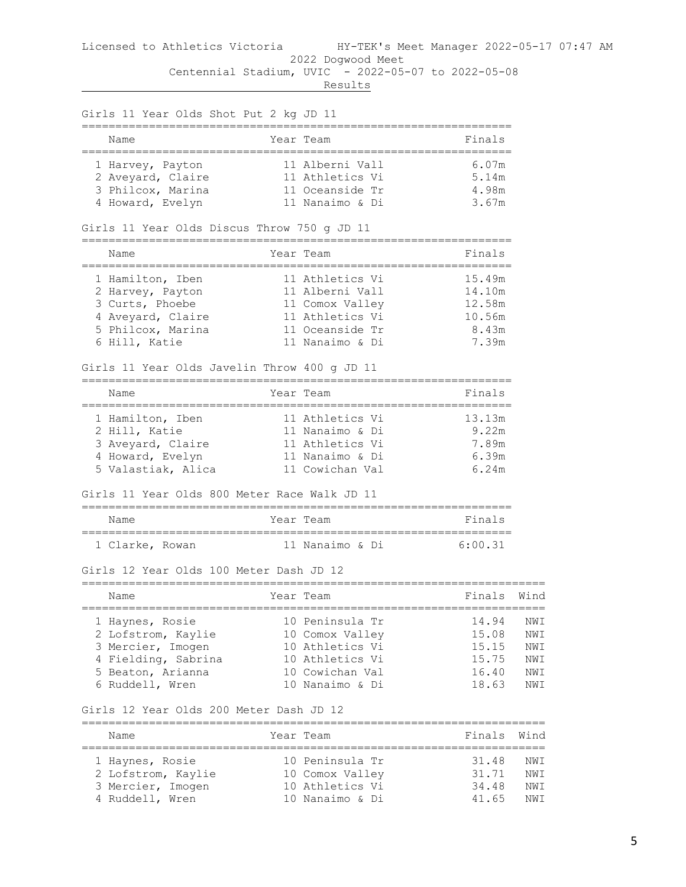| Girls 11 Year Olds Shot Put 2 kg JD 11<br>--------------            |        |                 |         |      |
|---------------------------------------------------------------------|--------|-----------------|---------|------|
| Name<br>====================================                        |        | Year Team       | Finals  |      |
| 1 Harvey, Payton                                                    |        | 11 Alberni Vall | 6.07m   |      |
| 2 Aveyard, Claire                                                   |        | 11 Athletics Vi | 5.14m   |      |
| 3 Philcox, Marina                                                   |        | 11 Oceanside Tr | 4.98m   |      |
| 4 Howard, Evelyn                                                    |        | 11 Nanaimo & Di | 3.67m   |      |
| Girls 11 Year Olds Discus Throw 750 g JD 11                         |        |                 |         |      |
| Name                                                                |        | Year Team       | Finals  |      |
| 1 Hamilton, Iben                                                    |        | 11 Athletics Vi | 15.49m  |      |
| 2 Harvey, Payton                                                    |        | 11 Alberni Vall | 14.10m  |      |
| 3 Curts, Phoebe                                                     |        | 11 Comox Valley | 12.58m  |      |
| 4 Aveyard, Claire                                                   |        | 11 Athletics Vi | 10.56m  |      |
| 5 Philcox, Marina                                                   |        | 11 Oceanside Tr | 8.43m   |      |
| 6 Hill, Katie                                                       |        | 11 Nanaimo & Di | 7.39m   |      |
| Girls 11 Year Olds Javelin Throw 400 g JD 11                        |        |                 |         |      |
| Name<br>------------------------                                    |        | Year Team       | Finals  |      |
| 1 Hamilton, Iben                                                    |        | 11 Athletics Vi | 13.13m  |      |
| 2 Hill, Katie                                                       |        | 11 Nanaimo & Di | 9.22m   |      |
| 3 Aveyard, Claire                                                   |        | 11 Athletics Vi | 7.89m   |      |
| 4 Howard, Evelyn                                                    |        | 11 Nanaimo & Di | 6.39m   |      |
| 5 Valastiak, Alica                                                  |        | 11 Cowichan Val | 6.24m   |      |
| Girls 11 Year Olds 800 Meter Race Walk JD 11                        |        |                 |         |      |
| Name                                                                |        | Year Team       | Finals  |      |
| 1 Clarke, Rowan                                                     |        | 11 Nanaimo & Di | 6:00.31 |      |
| Girls 12 Year Olds 100 Meter Dash JD 12<br>-------------------      |        |                 |         |      |
| Name                                                                |        | Year Team       | Finals  | Wind |
| 1 Haynes, Rosie                                                     |        | 10 Peninsula Tr | 14.94   | NWI  |
| 2 Lofstrom, Kaylie                                                  |        | 10 Comox Valley | 15.08   | NWI  |
| 3 Mercier, Imogen                                                   |        | 10 Athletics Vi | 15.15   | NWI  |
| 4 Fielding, Sabrina                                                 |        | 10 Athletics Vi | 15.75   | NWI  |
| 5 Beaton, Arianna                                                   |        | 10 Cowichan Val | 16.40   | NWI  |
| 6 Ruddell, Wren                                                     |        | 10 Nanaimo & Di | 18.63   | NWI  |
| Girls 12 Year Olds 200 Meter Dash JD 12<br>======================== |        |                 |         |      |
| Name                                                                | ====== | Year Team       | Finals  | Wind |
| 1 Haynes, Rosie                                                     |        | 10 Peninsula Tr | 31.48   | NWI  |
| 2 Lofstrom, Kaylie                                                  |        | 10 Comox Valley | 31.71   | NWI  |
| 3 Mercier, Imogen                                                   |        | 10 Athletics Vi | 34.48   | NWI  |
| 4 Ruddell, Wren                                                     |        | 10 Nanaimo & Di | 41.65   | NWI  |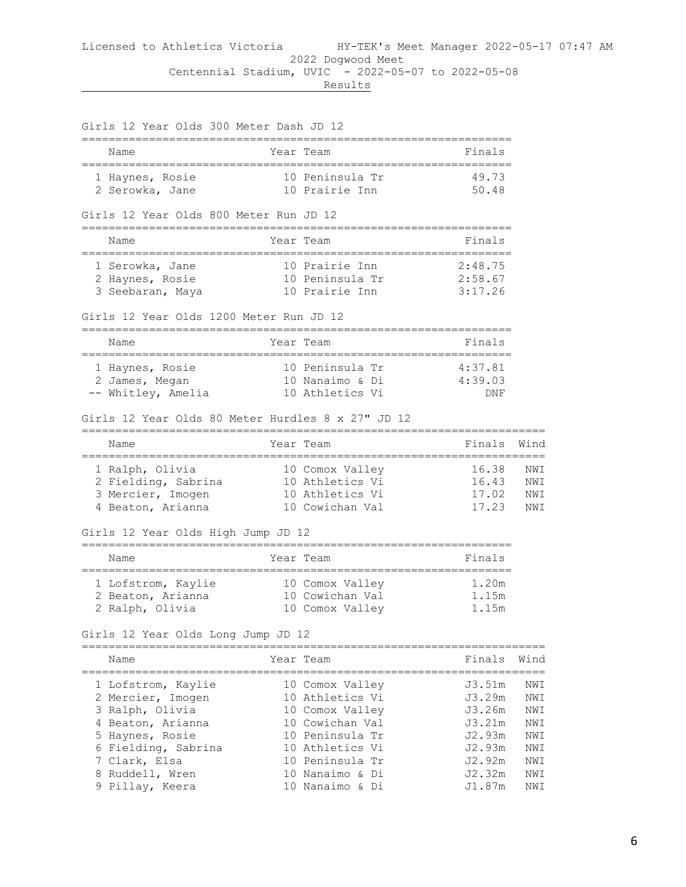Girls 12 Year Olds 300 Meter Dash JD 12 ================================================================ Name Year Team ================================================================ 1 Haynes, Rosie 10 Peninsula Tr 49.73 2 Serowka, Jane 10 Prairie Inn 50.48 Girls 12 Year Olds 800 Meter Run JD 12 ================================================================ Name **Year Team Finals** ================================================================ 1 Serowka, Jane 10 Prairie Inn 2:48.75 2 Haynes, Rosie 10 Peninsula Tr 2:58.67 3 Seebaran, Maya 10 Prairie Inn 3:17.26 Girls 12 Year Olds 1200 Meter Run JD 12 ================================================================ Name Year Team Name Finals ================================================================ 1 Haynes, Rosie 10 Peninsula Tr 4:37.81 2 James, Megan 10 Nanaimo & Di 4:39.03 -- Whitley, Amelia 10 Athletics Vi DNF Girls 12 Year Olds 80 Meter Hurdles 8 x 27" JD 12 ===================================================================== Name **Year Team Finals** Wind ===================================================================== 1 Ralph, Olivia 10 Comox Valley 16.38 NWI 2 Fielding, Sabrina 10 Athletics Vi 16.43 NWI 3 Mercier, Imogen 10 Athletics Vi 17.02 NWI 4 Beaton, Arianna 10 Cowichan Val 17.23 NWI Girls 12 Year Olds High Jump JD 12 ================================================================ Name Year Team Name Finals ================================================================ 1 Lofstrom, Kaylie 10 Comox Valley 1.20m 2 Beaton, Arianna 10 Cowichan Val 1.15m 2 Ralph, Olivia 10 Comox Valley 1.15m Girls 12 Year Olds Long Jump JD 12 ===================================================================== Name **The Year Team Finals** Wind ===================================================================== 1 Lofstrom, Kaylie 10 Comox Valley J3.51m NWI 2 Mercier, Imogen 10 Athletics Vi J3.29m NWI 3 Ralph, Olivia 10 Comox Valley J3.26m NWI 4 Beaton, Arianna 10 Cowichan Val J3.21m NWI 5 Haynes, Rosie 10 Peninsula Tr J2.93m NWI 6 Fielding, Sabrina 10 Athletics Vi J2.93m NWI 7 Clark, Elsa 10 Peninsula Tr J2.92m NWI 8 Ruddell, Wren 10 Nanaimo & Di J2.32m NWI 9 Pillay, Keera 10 Nanaimo & Di J1.87m NWI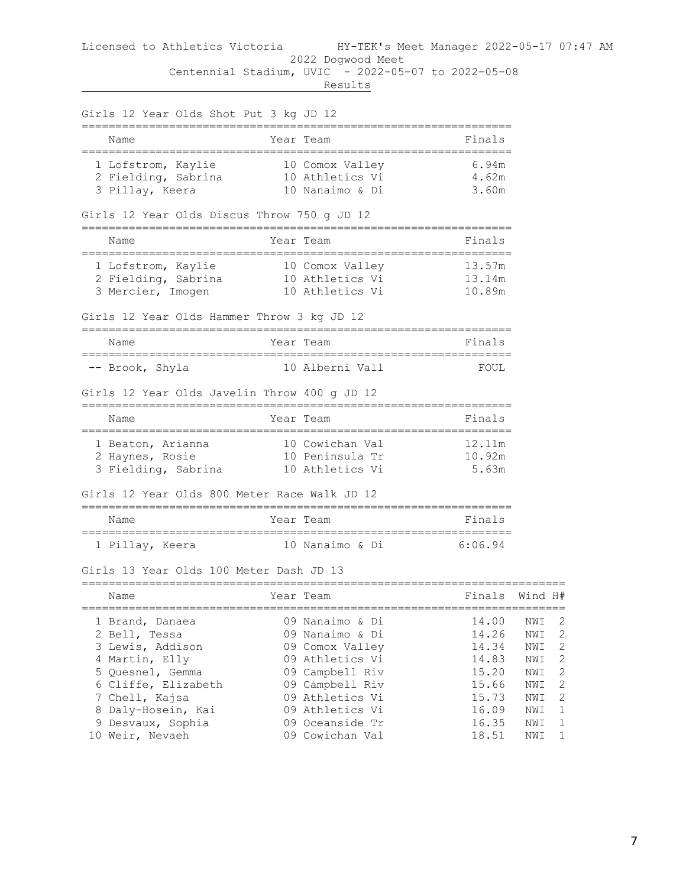Results

Girls 12 Year Olds Shot Put 3 kg JD 12 ================================================================ Name Year Team Finals ================================================================ 1 Lofstrom, Kaylie 10 Comox Valley 6.94m 2 Fielding, Sabrina 10 Athletics Vi 4.62m 3 Pillay, Keera 10 Nanaimo & Di 3.60m Girls 12 Year Olds Discus Throw 750 g JD 12 ================================================================ Name **Name Year** Team ================================================================ 1 Lofstrom, Kaylie 10 Comox Valley 13.57m 2 Fielding, Sabrina 10 Athletics Vi 13.14m 3 Mercier, Imogen 10 Athletics Vi 10.89m Girls 12 Year Olds Hammer Throw 3 kg JD 12 ================================================================ Year Team **Finals** ================================================================ -- Brook, Shyla 10 Alberni Vall FOUL Girls 12 Year Olds Javelin Throw 400 g JD 12 ================================================================ Name **Year** Team ================================================================ 1 Beaton, Arianna 10 Cowichan Val 12.11m 2 Haynes, Rosie 10 Peninsula Tr 10.92m 3 Fielding, Sabrina 10 Athletics Vi 5.63m Girls 12 Year Olds 800 Meter Race Walk JD 12 ================================================================ Name Year Team Finals ================================================================ 1 Pillay, Keera 10 Nanaimo & Di 6:06.94 Girls 13 Year Olds 100 Meter Dash JD 13 ======================================================================== Year Team Finals Wind H# ======================================================================== 1 Brand, Danaea 09 Nanaimo & Di 14.00 NWI 2 2 Bell, Tessa 09 Nanaimo & Di 14.26 NWI 2 3 Lewis, Addison 09 Comox Valley 14.34 NWI 2 4 Martin, Elly 09 Athletics Vi 14.83 NWI 2 5 Quesnel, Gemma 09 Campbell Riv 15.20 NWI 2 6 Cliffe, Elizabeth 09 Campbell Riv 15.66 NWI 2 7 Chell, Kajsa 09 Athletics Vi 15.73 NWI 2 8 Daly-Hosein, Kai 09 Athletics Vi 16.09 NWI 1 9 Desvaux, Sophia 09 Oceanside Tr 16.35 NWI 1 10 Weir, Nevaeh 09 Cowichan Val 18.51 NWI 1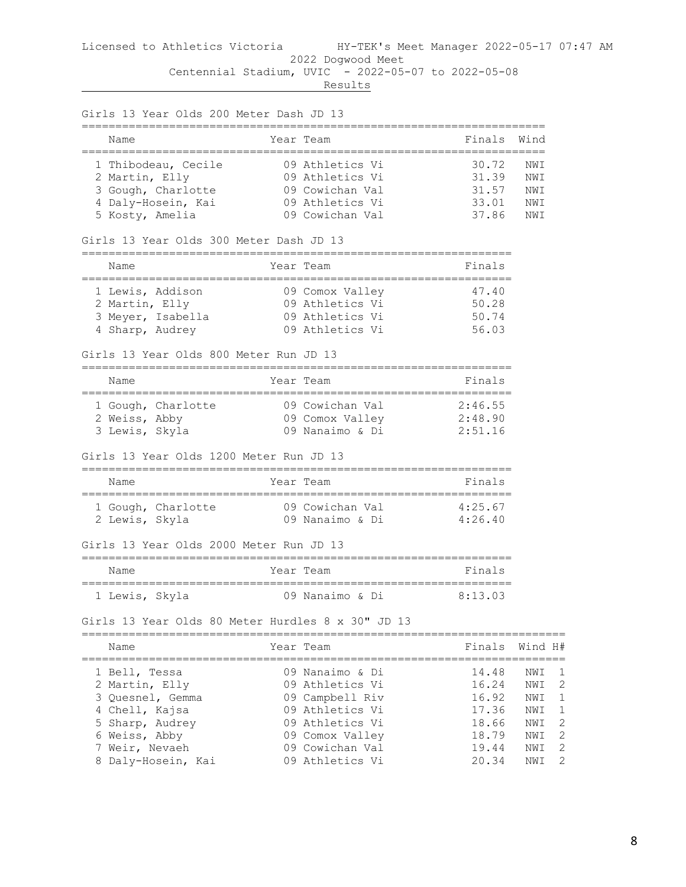|                    | Girls 13 Year Olds 200 Meter Dash JD 13                                                                                                   |                                                                                                                                                      |                                                                      |                                                                                                                      |
|--------------------|-------------------------------------------------------------------------------------------------------------------------------------------|------------------------------------------------------------------------------------------------------------------------------------------------------|----------------------------------------------------------------------|----------------------------------------------------------------------------------------------------------------------|
|                    | Name                                                                                                                                      | Year Team<br>---------                                                                                                                               | Finals                                                               | Wind                                                                                                                 |
|                    | 1 Thibodeau, Cecile<br>2 Martin, Elly<br>3 Gough, Charlotte<br>4 Daly-Hosein, Kai<br>5 Kosty, Amelia                                      | 09 Athletics Vi<br>09 Athletics Vi<br>09 Cowichan Val<br>09 Athletics Vi<br>09 Cowichan Val                                                          | 30.72<br>31.39<br>31.57<br>33.01<br>37.86                            | NWI<br>NWI<br>NWI<br>NWI<br>NWI                                                                                      |
|                    | Girls 13 Year Olds 300 Meter Dash JD 13                                                                                                   |                                                                                                                                                      |                                                                      |                                                                                                                      |
|                    | Name                                                                                                                                      | Year Team                                                                                                                                            | Finals                                                               |                                                                                                                      |
|                    | 1 Lewis, Addison<br>2 Martin, Elly<br>3 Meyer, Isabella<br>4 Sharp, Audrey<br>Girls 13 Year Olds 800 Meter Run JD 13                      | 09 Comox Valley<br>09 Athletics Vi<br>09 Athletics Vi<br>09 Athletics Vi                                                                             | 47.40<br>50.28<br>50.74<br>56.03                                     |                                                                                                                      |
|                    | Name                                                                                                                                      | Year Team                                                                                                                                            | Finals                                                               |                                                                                                                      |
|                    | 1 Gough, Charlotte<br>2 Weiss, Abby<br>3 Lewis, Skyla                                                                                     | 09 Cowichan Val<br>09 Comox Valley 2:48.90<br>09 Nanaimo & Di                                                                                        | 2:46.55<br>2:51.16                                                   |                                                                                                                      |
|                    | Girls 13 Year Olds 1200 Meter Run JD 13                                                                                                   |                                                                                                                                                      |                                                                      |                                                                                                                      |
|                    | Name                                                                                                                                      | Year Team<br>.==========<br>=================                                                                                                        | Finals                                                               |                                                                                                                      |
|                    | 1 Gough, Charlotte<br>2 Lewis, Skyla                                                                                                      | 09 Cowichan Val<br>09 Nanaimo & Di                                                                                                                   | 4:25.67<br>4:26.40                                                   |                                                                                                                      |
|                    | Girls 13 Year Olds 2000 Meter Run JD 13                                                                                                   |                                                                                                                                                      |                                                                      |                                                                                                                      |
|                    | Name                                                                                                                                      | Year Team                                                                                                                                            | Finals                                                               |                                                                                                                      |
|                    | 1 Lewis, Skyla                                                                                                                            | 09 Nanaimo & Di                                                                                                                                      | 8:13.03                                                              |                                                                                                                      |
|                    | Girls 13 Year Olds 80 Meter Hurdles 8 x 30" JD 13                                                                                         |                                                                                                                                                      |                                                                      |                                                                                                                      |
|                    | Name                                                                                                                                      | Year Team                                                                                                                                            | Finals                                                               | Wind H#                                                                                                              |
| 3.<br>4<br>Ⴢ<br>7. | l Be⊥⊥, Tessa<br>2 Martin, Elly<br>Quesnel, Gemma<br>Chell, Kajsa<br>Sharp, Audrey<br>6 Weiss, Abby<br>Weir, Nevaeh<br>8 Daly-Hosein, Kai | 09 Nanaimo & Di<br>09 Athletics Vi<br>09 Campbell Riv<br>09 Athletics Vi<br>09 Athletics Vi<br>09 Comox Valley<br>09 Cowichan Val<br>09 Athletics Vi | 14.48<br>16.24<br>16.92<br>17.36<br>18.66<br>18.79<br>19.44<br>20.34 | NWI<br>ı<br>2<br>NWI<br>$\mathbf{1}$<br>NWI<br>1<br>NWI<br>$\overline{2}$<br>NWI<br>2<br>NWI<br>2<br>NWI<br>2<br>NWI |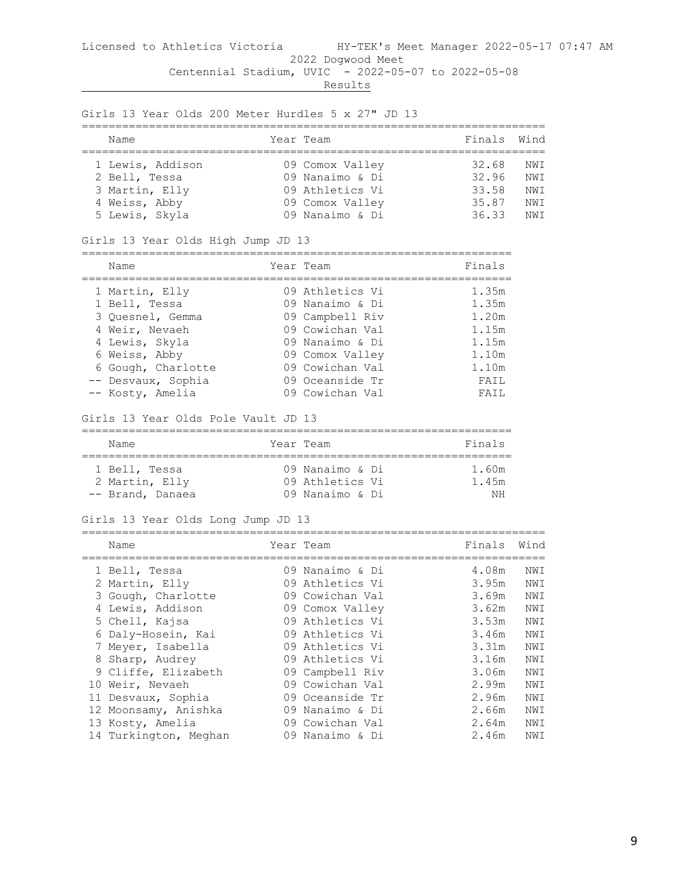| Name |                  | Year Team       | Finals Wind |            |
|------|------------------|-----------------|-------------|------------|
|      | 1 Lewis, Addison | 09 Comox Valley | 32.68       | NWI        |
|      | 2 Bell, Tessa    | 09 Nanaimo & Di | 32.96       | NW T       |
|      | 3 Martin, Elly   | 09 Athletics Vi | 33.58       | NWI        |
|      | 4 Weiss, Abby    | 09 Comox Valley | 35.87       | NWI        |
|      | 5 Lewis, Skyla   | 09 Nanaimo & Di | 36.33       | <b>NWT</b> |

Girls 13 Year Olds 200 Meter Hurdles 5 x 27" JD 13

#### Girls 13 Year Olds High Jump JD 13

================================================================

| Name               | Year Team       | Finals |
|--------------------|-----------------|--------|
| 1 Martin, Elly     | 09 Athletics Vi | 1.35m  |
| 1 Bell, Tessa      | 09 Nanaimo & Di | 1.35m  |
| 3 Ouesnel, Gemma   | 09 Campbell Riv | 1.20m  |
| 4 Weir, Nevaeh     | 09 Cowichan Val | 1.15m  |
| 4 Lewis, Skyla     | 09 Nanaimo & Di | 1.15m  |
| 6 Weiss, Abby      | 09 Comox Valley | 1.10m  |
| 6 Gough, Charlotte | 09 Cowichan Val | 1.10m  |
| -- Desvaux, Sophia | 09 Oceanside Tr | FAIL   |
| -- Kosty, Amelia   | 09 Cowichan Val | FATI.  |

#### Girls 13 Year Olds Pole Vault JD 13

| Name                            | Year Team                          | Finals         |
|---------------------------------|------------------------------------|----------------|
| 1 Bell, Tessa<br>2 Martin, Elly | 09 Nanaimo & Di<br>09 Athletics Vi | 1.60m<br>1.45m |
| -- Brand, Danaea                | 09 Nanaimo & Di                    |                |

#### Girls 13 Year Olds Long Jump JD 13

| Name                                    | Year Team                          | Finals         | Wind       |
|-----------------------------------------|------------------------------------|----------------|------------|
| 1 Bell, Tessa                           | 09 Nanaimo & Di                    | 4.08m          | NWI        |
| 2 Martin, Elly<br>3 Gough, Charlotte    | 09 Athletics Vi<br>09 Cowichan Val | 3.95m<br>3.69m | NWI<br>NWI |
| 4 Lewis, Addison                        | 09 Comox Valley                    | 3.62m          | NWI        |
| 5 Chell, Kajsa                          | 09 Athletics Vi                    | 3.53m          | NWI        |
| 6 Daly-Hosein, Kai<br>7 Meyer, Isabella | 09 Athletics Vi<br>09 Athletics Vi | 3.46m<br>3.31m | NWI<br>NWI |
| 8 Sharp, Audrey                         | 09 Athletics Vi                    | 3.16m          | NWI        |
| 9 Cliffe, Elizabeth                     | 09 Campbell Riv                    | 3.06m          | NWI        |
| 10 Weir, Nevaeh<br>11 Desvaux, Sophia   | 09 Cowichan Val<br>09 Oceanside Tr | 2.99m<br>2.96m | NWI<br>NWI |
| 12 Moonsamy, Anishka                    | 09 Nanaimo & Di                    | 2.66m          | NWI        |
| 13 Kosty, Amelia                        | 09 Cowichan Val                    | 2.64m          | NWI        |
| 14 Turkington, Meghan                   | 09 Nanaimo & Di                    | 2.46m          | NWI        |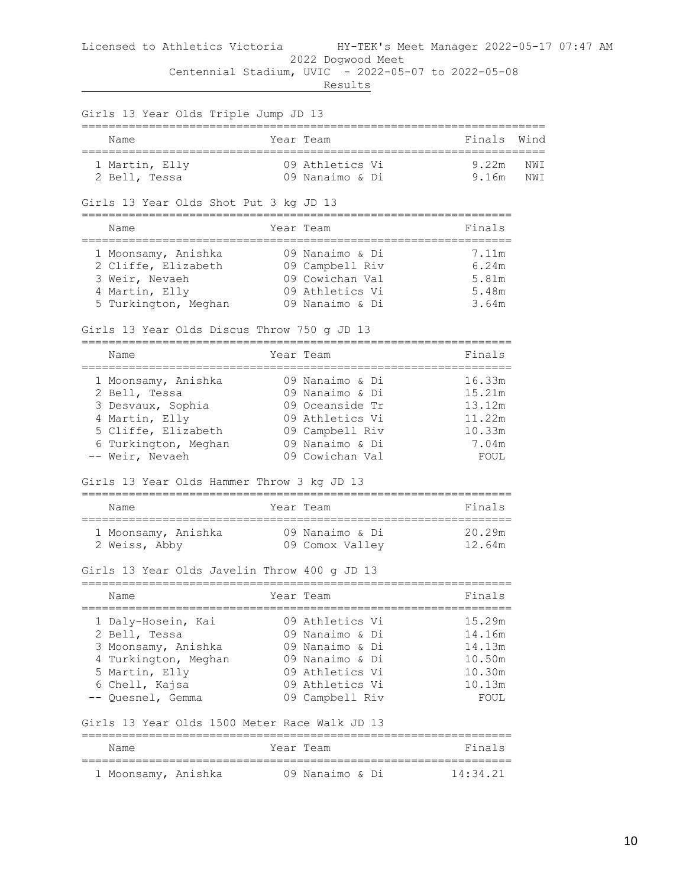| ;======================                        |                                             |                             | Wind |
|------------------------------------------------|---------------------------------------------|-----------------------------|------|
| Name<br>====================================== | Year Team                                   | Finals<br>----------------- |      |
| 1 Martin, Elly                                 | 09 Athletics Vi                             | 9.22m                       | NWI  |
| 2 Bell, Tessa                                  | 09 Nanaimo & Di                             | 9.16m                       | NWI  |
| Girls 13 Year Olds Shot Put 3 kg JD 13         |                                             |                             |      |
| Name                                           | Year Team                                   | Finals                      |      |
| 1 Moonsamy, Anishka                            | 09 Nanaimo & Di                             | 7.11m                       |      |
| 2 Cliffe, Elizabeth                            | 09 Campbell Riv                             | 6.24m                       |      |
| 3 Weir, Nevaeh                                 | 09 Cowichan Val                             | 5.81m                       |      |
| 4 Martin, Elly                                 | 09 Athletics Vi                             | 5.48m                       |      |
| 5 Turkington, Meghan                           | 09 Nanaimo & Di                             | 3.64m                       |      |
| Girls 13 Year Olds Discus Throw 750 g JD 13    |                                             |                             |      |
| Name                                           | Year Team                                   | Finals                      |      |
| 1 Moonsamy, Anishka                            | 09 Nanaimo & Di                             | 16.33m                      |      |
| 2 Bell, Tessa                                  | 09 Nanaimo & Di                             | 15.21m                      |      |
| 3 Desvaux, Sophia                              | 09 Oceanside Tr                             | 13.12m                      |      |
| 4 Martin, Elly                                 | 09 Athletics Vi                             | 11.22m                      |      |
| 5 Cliffe, Elizabeth                            | 09 Campbell Riv                             | 10.33m                      |      |
| 6 Turkington, Meghan                           | 09 Nanaimo & Di                             | 7.04m                       |      |
| -- Weir, Nevaeh                                | 09 Cowichan Val                             | FOUL                        |      |
| Girls 13 Year Olds Hammer Throw 3 kg JD 13     |                                             |                             |      |
| Name                                           | Year Team                                   | Finals                      |      |
| 1 Moonsamy, Anishka                            | 09 Nanaimo & Di                             | 20.29m                      |      |
| 2 Weiss, Abby                                  | 09 Comox Valley                             | 12.64m                      |      |
| Girls 13 Year Olds Javelin Throw 400 g JD 13   |                                             |                             |      |
| ______________________________<br>Name         | ;=============================<br>Year Team | Finals                      |      |
| 1 Daly-Hosein, Kai                             | 09 Athletics Vi                             | 15.29m                      |      |
| 2 Bell, Tessa                                  | 09 Nanaimo & Di                             | 14.16m                      |      |
| 3 Moonsamy, Anishka                            | 09 Nanaimo & Di                             | 14.13m                      |      |
| 4 Turkington, Meghan                           | 09 Nanaimo & Di                             | 10.50m                      |      |
| 5 Martin, Elly                                 | 09 Athletics Vi                             | 10.30m                      |      |
| 6 Chell, Kajsa                                 | 09 Athletics Vi                             | 10.13m                      |      |
| -- Quesnel, Gemma                              | 09 Campbell Riv                             | FOUL                        |      |
| Girls 13 Year Olds 1500 Meter Race Walk JD 13  |                                             |                             |      |
| Name                                           | Year Team                                   | Finals                      |      |
| 1 Moonsamy, Anishka                            | 09 Nanaimo & Di                             | 14:34.21                    |      |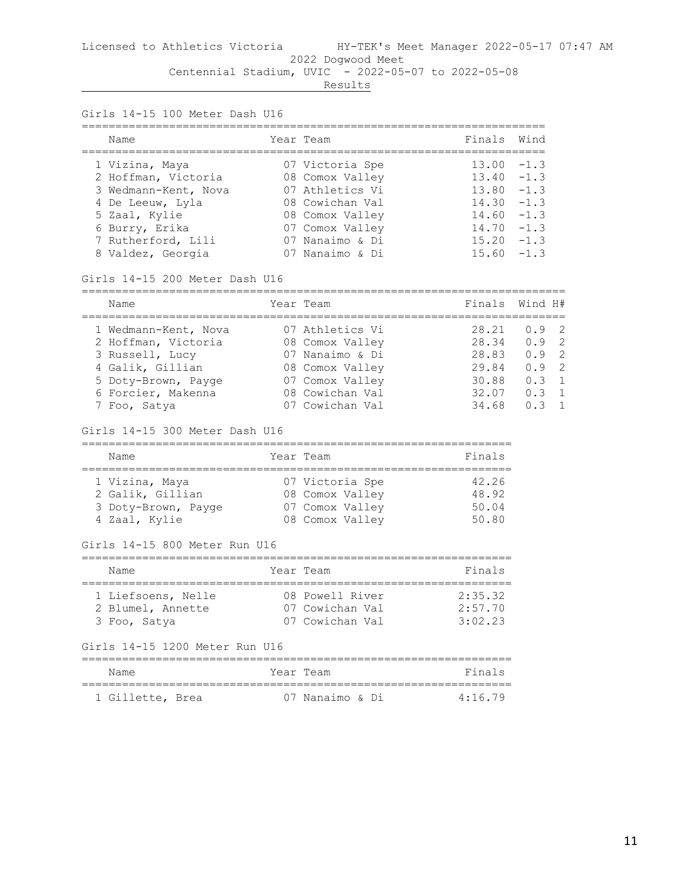## Licensed to Athletics Victoria HY-TEK's Meet Manager 2022-05-17 07:47 AM 2022 Dogwood Meet

Centennial Stadium, UVIC - 2022-05-07 to 2022-05-08

**Results** 

Girls 14-15 100 Meter Dash U16

| Name                                                                                                                                                            | Year Team                                                                                                                                            | Finals Wind                                                                                                  |                              |
|-----------------------------------------------------------------------------------------------------------------------------------------------------------------|------------------------------------------------------------------------------------------------------------------------------------------------------|--------------------------------------------------------------------------------------------------------------|------------------------------|
| 1 Vizina, Maya<br>2 Hoffman, Victoria<br>3 Wedmann-Kent, Nova<br>4 De Leeuw, Lyla<br>5 Zaal, Kylie<br>6 Burry, Erika<br>7 Rutherford, Lili<br>8 Valdez, Georgia | 07 Victoria Spe<br>08 Comox Valley<br>07 Athletics Vi<br>08 Cowichan Val<br>08 Comox Valley<br>07 Comox Valley<br>07 Nanaimo & Di<br>07 Nanaimo & Di | $13.00 - 1.3$<br>$13.40 - 1.3$<br>$13.80 - 1.3$<br>$14.30 - 1.3$<br>$14.60 - 1.3$<br>14.70<br>15.20<br>15.60 | $-1.3$<br>$-1$ . 3<br>$-1.3$ |

Girls 14-15 200 Meter Dash U16

| Name                 | Year Team       | Finals Wind H# |               |  |
|----------------------|-----------------|----------------|---------------|--|
| 1 Wedmann-Kent, Nova | 07 Athletics Vi | 28.21          | 0.92          |  |
| 2 Hoffman, Victoria  | 08 Comox Valley | 28.34          | 0.92          |  |
| 3 Russell, Lucy      | 07 Nanaimo & Di | 28.83          | 0.92          |  |
| 4 Galik, Gillian     | 08 Comox Valley | 29.84          | $0.9 \quad 2$ |  |
| 5 Doty-Brown, Payge  | 07 Comox Valley | 30.88          | $0.3 \quad 1$ |  |
| 6 Forcier, Makenna   | 08 Cowichan Val | 32.07          | $0.3 \quad 1$ |  |
| 7 Foo, Satya         | 07 Cowichan Val | 34.68          | 0.3           |  |

#### Girls 14-15 300 Meter Dash U16

| Name                | Year Team       | Finals |
|---------------------|-----------------|--------|
|                     |                 |        |
| 1 Vizina, Maya      | 07 Victoria Spe | 42.26  |
| 2 Galik, Gillian    | 08 Comox Valley | 48.92  |
| 3 Doty-Brown, Payge | 07 Comox Valley | 50.04  |
| 4 Zaal, Kylie       | 08 Comox Valley | 50.80  |

#### Girls 14-15 800 Meter Run U16

| Name                                    | Year Team                          | Finals             |  |  |  |  |  |
|-----------------------------------------|------------------------------------|--------------------|--|--|--|--|--|
| 1 Liefsoens, Nelle<br>2 Blumel, Annette | 08 Powell River<br>07 Cowichan Val | 2:35.32<br>2:57.70 |  |  |  |  |  |
| 3 Foo, Satya                            | 07 Cowichan Val                    | 3:02.23            |  |  |  |  |  |

## Girls 14-15 1200 Meter Run U16

| Name             | Year Team       | Finals          |
|------------------|-----------------|-----------------|
| 1 Gillette, Brea | 07 Nanaimo & Di | $4 \cdot 16$ 79 |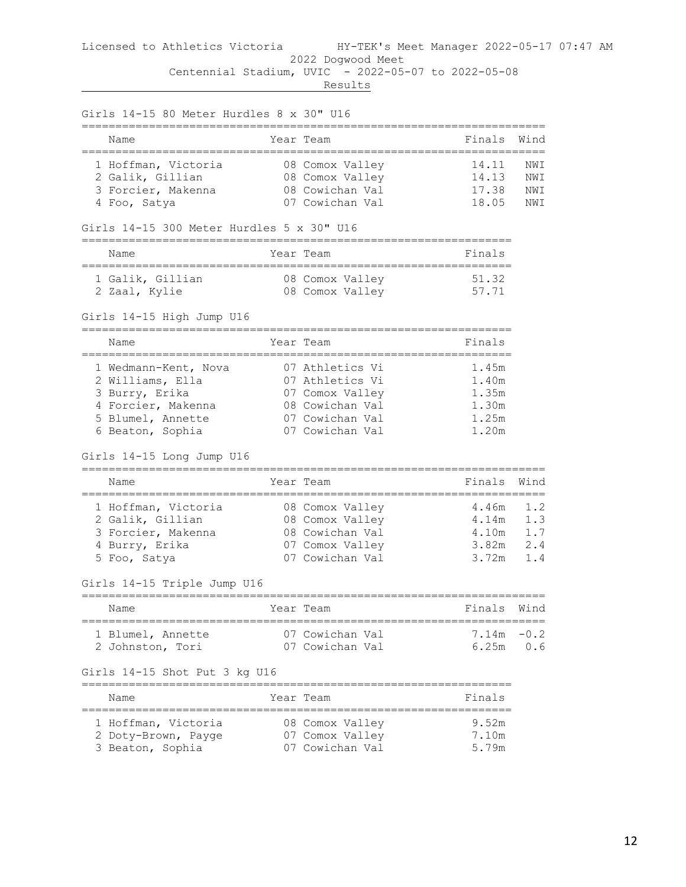| Girls 14-15 80 Meter Hurdles 8 x 30" U16                                                                                  |                                                                                                                |                                                    |                                 |
|---------------------------------------------------------------------------------------------------------------------------|----------------------------------------------------------------------------------------------------------------|----------------------------------------------------|---------------------------------|
| Name                                                                                                                      | Year Team                                                                                                      | Finals                                             | Wind                            |
| 1 Hoffman, Victoria<br>2 Galik, Gillian<br>3 Forcier, Makenna<br>4 Foo, Satya                                             | 08 Comox Valley<br>08 Comox Valley<br>08 Cowichan Val<br>07 Cowichan Val                                       | 14.11<br>14.13<br>17.38<br>18.05                   | NWI<br>NWI<br>NWI<br>NWI        |
| Girls $14-15$ 300 Meter Hurdles 5 x 30" U16                                                                               |                                                                                                                |                                                    |                                 |
| Name                                                                                                                      | Year Team                                                                                                      | Finals                                             |                                 |
| 1 Galik, Gillian<br>2 Zaal, Kylie                                                                                         | 08 Comox Valley<br>08 Comox Valley                                                                             | 51.32<br>57.71                                     |                                 |
| Girls 14-15 High Jump U16                                                                                                 |                                                                                                                |                                                    |                                 |
| Name                                                                                                                      | Year Team                                                                                                      | Finals                                             |                                 |
| 1 Wedmann-Kent, Nova<br>2 Williams, Ella<br>3 Burry, Erika<br>4 Forcier, Makenna<br>5 Blumel, Annette<br>6 Beaton, Sophia | 07 Athletics Vi<br>07 Athletics Vi<br>07 Comox Valley<br>08 Cowichan Val<br>07 Cowichan Val<br>07 Cowichan Val | 1.45m<br>1.40m<br>1.35m<br>1.30m<br>1.25m<br>1.20m |                                 |
| Girls 14-15 Long Jump U16                                                                                                 |                                                                                                                |                                                    |                                 |
| Name                                                                                                                      | Year Team                                                                                                      | Finals                                             | Wind                            |
| 1 Hoffman, Victoria<br>2 Galik, Gillian<br>3 Forcier, Makenna<br>4 Burry, Erika<br>5 Foo, Satya                           | 08 Comox Valley<br>08 Comox Valley<br>08 Cowichan Val<br>07 Comox Valley<br>07 Cowichan Val                    | 4.46m<br>4.14m<br>4.10m<br>3.82m<br>3.72m          | 1.2<br>1.3<br>1.7<br>2.4<br>1.4 |
| Girls 14-15 Triple Jump U16                                                                                               |                                                                                                                |                                                    |                                 |
| Name                                                                                                                      | Year Team                                                                                                      | Finals                                             | Wınd                            |
| 1 Blumel, Annette<br>2 Johnston, Tori                                                                                     | 07 Cowichan Val<br>07 Cowichan Val                                                                             | 7.14m<br>6.25m                                     | $-0.2$<br>0.6                   |
| Girls 14-15 Shot Put 3 kg U16                                                                                             |                                                                                                                |                                                    |                                 |
| Name<br>;================                                                                                                 | Year Team                                                                                                      | Finals                                             |                                 |
| 1 Hoffman, Victoria<br>2 Doty-Brown, Payge<br>3 Beaton, Sophia                                                            | 08 Comox Valley<br>07 Comox Valley<br>07 Cowichan Val                                                          | 9.52m<br>7.10m<br>5.79m                            |                                 |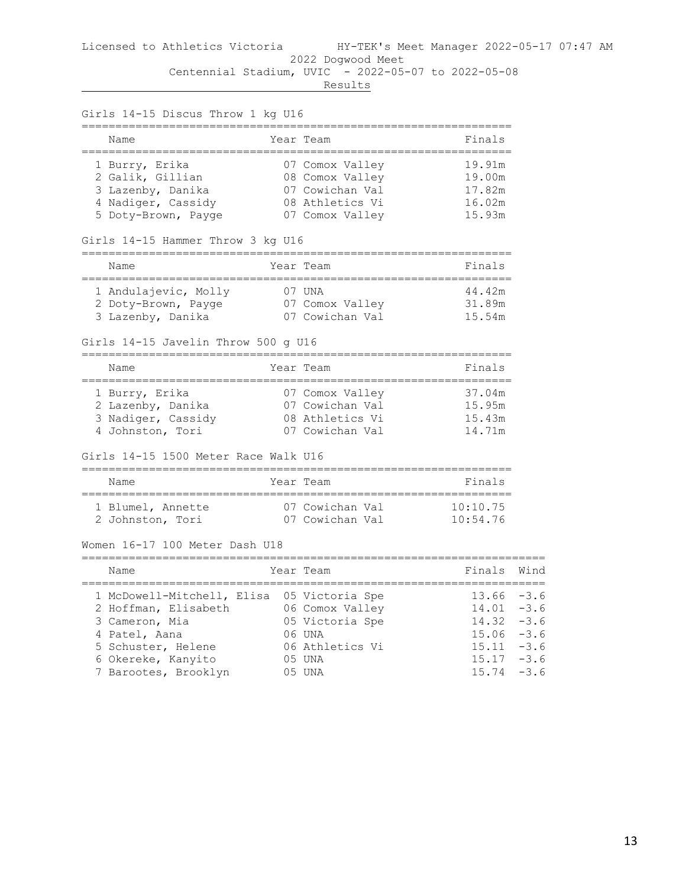| Girls 14-15 Discus Throw 1 kg U16<br>=================                                                                                                                    |                                                                                             |                                                                                   |                                                          |
|---------------------------------------------------------------------------------------------------------------------------------------------------------------------------|---------------------------------------------------------------------------------------------|-----------------------------------------------------------------------------------|----------------------------------------------------------|
| Name                                                                                                                                                                      | Year Team                                                                                   | Finals                                                                            |                                                          |
| =====================================<br>1 Burry, Erika<br>2 Galik, Gillian<br>3 Lazenby, Danika<br>4 Nadiger, Cassidy<br>5 Doty-Brown, Payge                             | 07 Comox Valley<br>08 Comox Valley<br>07 Cowichan Val<br>08 Athletics Vi<br>07 Comox Valley | _______________________________<br>19.91m<br>19.00m<br>17.82m<br>16.02m<br>15.93m |                                                          |
| Girls 14-15 Hammer Throw 3 kg U16                                                                                                                                         |                                                                                             |                                                                                   |                                                          |
| Name                                                                                                                                                                      | Year Team                                                                                   | Finals<br>:===========                                                            |                                                          |
| 1 Andulajevic, Molly<br>2 Doty-Brown, Payge 07 Comox Valley<br>3 Lazenby, Danika<br>Girls 14-15 Javelin Throw 500 g U16                                                   | 07 UNA<br>07 Cowichan Val                                                                   | 44.42m<br>31.89m<br>15.54m                                                        |                                                          |
| Name                                                                                                                                                                      | Year Team                                                                                   | Finals                                                                            |                                                          |
| 1 Burry, Erika<br>2 Lazenby, Danika<br>3 Nadiger, Cassidy<br>4 Johnston, Tori<br>Girls 14-15 1500 Meter Race Walk U16                                                     | 07 Comox Valley<br>07 Cowichan Val<br>08 Athletics Vi<br>07 Cowichan Val                    | 37.04m<br>15.95m<br>15.43m<br>14.71m                                              |                                                          |
| =========================<br>Name                                                                                                                                         | Year Team                                                                                   | Finals                                                                            |                                                          |
| ====================================<br>1 Blumel, Annette<br>2 Johnston, Tori                                                                                             | 07 Cowichan Val<br>07 Cowichan Val                                                          | ======================<br>10:10.75<br>10:54.76                                    |                                                          |
| Women 16-17 100 Meter Dash U18                                                                                                                                            |                                                                                             |                                                                                   |                                                          |
| Name                                                                                                                                                                      | Year Team                                                                                   | Finals                                                                            | Wind                                                     |
| 1 McDowell-Mitchell, Elisa 05 Victoria Spe<br>2 Hoffman, Elisabeth<br>3 Cameron, Mia<br>4 Patel, Aana<br>5 Schuster, Helene<br>6 Okereke, Kanyito<br>7 Barootes, Brooklyn | 06 Comox Valley<br>05 Victoria Spe<br>06 UNA<br>06 Athletics Vi<br>05 UNA<br>05 UNA         | 13.66<br>14.01<br>14.32<br>15.06<br>15.11<br>$15.17 - 3.6$<br>15.74               | $-3.6$<br>$-3.6$<br>$-3.6$<br>$-3.6$<br>$-3.6$<br>$-3.6$ |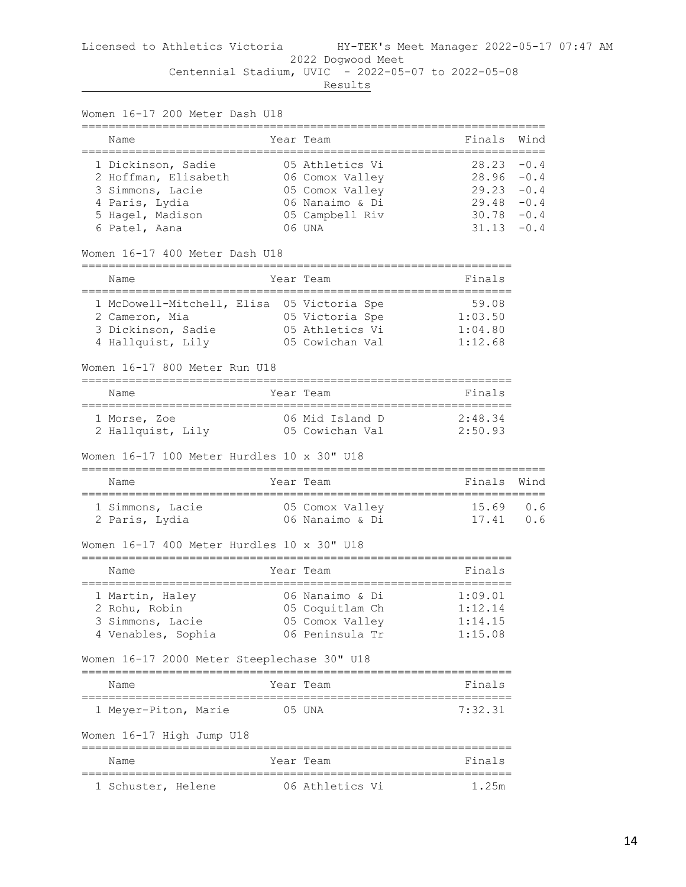| Women 16-17 200 Meter Dash U18                                  |            |                                        |                |                  |
|-----------------------------------------------------------------|------------|----------------------------------------|----------------|------------------|
| Name                                                            |            | Year Team                              | Finals         | Wind             |
| 1 Dickinson, Sadie<br>2 Hoffman, Elisabeth                      |            | 05 Athletics Vi<br>06 Comox Valley     | 28.23<br>28.96 | $-0.4$<br>$-0.4$ |
| 3 Simmons, Lacie                                                |            | 05 Comox Valley                        | 29.23          | $-0.4$           |
| 4 Paris, Lydia                                                  |            | 06 Nanaimo & Di                        | 29.48          | $-0.4$           |
| 5 Hagel, Madison                                                |            | 05 Campbell Riv                        | 30.78          | $-0.4$           |
| 6 Patel, Aana                                                   |            | 06 UNA                                 | 31.13          | $-0.4$           |
| Women 16-17 400 Meter Dash U18<br>============================= |            |                                        |                |                  |
| Name<br>=================                                       | ========== | Year Team<br>========================= | Finals         |                  |
| 1 McDowell-Mitchell, Elisa 05 Victoria Spe                      |            |                                        | 59.08          |                  |
| 2 Cameron, Mia                                                  |            | 05 Victoria Spe                        | 1:03.50        |                  |
| 3 Dickinson, Sadie                                              |            | 05 Athletics Vi                        | 1:04.80        |                  |
| 4 Hallquist, Lily                                               |            | 05 Cowichan Val                        | 1:12.68        |                  |
| Women 16-17 800 Meter Run U18                                   |            |                                        |                |                  |
| Name                                                            |            | Year Team                              | Finals         |                  |
| 1 Morse, Zoe                                                    |            | 06 Mid Island D                        | 2:48.34        |                  |
| 2 Hallquist, Lily                                               |            | 05 Cowichan Val                        | 2:50.93        |                  |
| Women 16-17 100 Meter Hurdles 10 x 30" U18                      |            |                                        |                |                  |
| Name                                                            |            | Year Team                              | Finals         | Wind             |
| 1 Simmons, Lacie                                                |            | 05 Comox Valley                        | 15.69          | 0.6              |
| 2 Paris, Lydia                                                  |            | 06 Nanaimo & Di                        | 17.41          | 0.6              |
| Women 16-17 400 Meter Hurdles 10 x 30" U18                      |            |                                        |                |                  |
| Name                                                            |            | Year Team                              | Finals         |                  |
| 1 Martin, Haley                                                 |            | 06 Nanaimo & Di                        | 1:09.01        |                  |
| 2 Rohu, Robin                                                   |            | 05 Coquitlam Ch                        | 1:12.14        |                  |
| 3 Simmons, Lacie                                                |            | 05 Comox Valley                        | 1:14.15        |                  |
| 4 Venables, Sophia                                              |            | 06 Peninsula Tr                        | 1:15.08        |                  |
| Women 16-17 2000 Meter Steeplechase 30" U18                     |            |                                        |                |                  |
| Name                                                            |            | Year Team                              | Finals         |                  |
| 1 Meyer-Piton, Marie                                            | 05 UNA     |                                        | 7:32.31        |                  |
| Women 16-17 High Jump U18                                       |            |                                        |                |                  |
| Name                                                            |            | Year Team                              | Finals         |                  |
| 1 Schuster, Helene                                              |            | 06 Athletics Vi                        | 1.25m          |                  |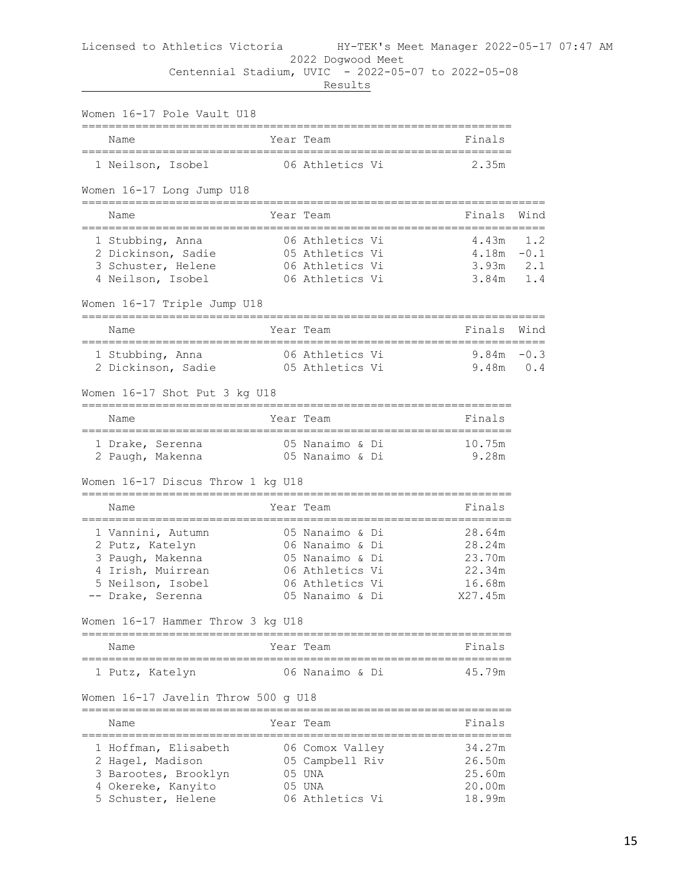# Licensed to Athletics Victoria HY-TEK's Meet Manager 2022-05-17 07:47 AM 2022 Dogwood Meet

 Centennial Stadium, UVIC - 2022-05-07 to 2022-05-08 **Results** 

| Women 16-17 Pole Vault U18                                            |                                                           |                        |      |
|-----------------------------------------------------------------------|-----------------------------------------------------------|------------------------|------|
| Name                                                                  | Year Team                                                 | Finals                 |      |
| 1 Neilson, Isobel                                                     | 06 Athletics Vi                                           | 2.35m                  |      |
| Women 16-17 Long Jump U18                                             |                                                           |                        |      |
| Name                                                                  | Year Team                                                 | Finals                 | Wind |
| 1 Stubbing, Anna                                                      | 06 Athletics Vi                                           | $4.43m$ 1.2            |      |
| 2 Dickinson, Sadie                                                    | 05 Athletics Vi                                           | $4.18m - 0.1$          |      |
| 3 Schuster, Helene                                                    | 06 Athletics Vi                                           | $3.93m$ $2.1$          |      |
| 4 Neilson, Isobel                                                     | 06 Athletics Vi                                           | $3.84m$ 1.4            |      |
| Women 16-17 Triple Jump U18<br>====================================== |                                                           | .===================== |      |
| Name                                                                  | Year Team                                                 | Finals                 | Wind |
| 1 Stubbing, Anna                                                      | 06 Athletics Vi                                           | $9.84m - 0.3$          |      |
| 2 Dickinson, Sadie                                                    | 05 Athletics Vi                                           | $9.48m$ 0.4            |      |
|                                                                       |                                                           |                        |      |
| Women 16-17 Shot Put 3 kg U18                                         |                                                           |                        |      |
| Name                                                                  | Year Team                                                 | Finals                 |      |
| 1 Drake, Serenna                                                      | 05 Nanaimo & Di                                           | 10.75m                 |      |
| 2 Paugh, Makenna                                                      | 05 Nanaimo & Di                                           | 9.28m                  |      |
| Women 16-17 Discus Throw 1 kg U18                                     |                                                           |                        |      |
| Name                                                                  | Year Team                                                 | Finals                 |      |
| 1 Vannini, Autumn                                                     | 05 Nanaimo & Di                                           | 28.64m                 |      |
| 2 Putz, Katelyn                                                       | 06 Nanaimo & Di                                           | 28.24m                 |      |
| 3 Paugh, Makenna                                                      | 05 Nanaimo & Di                                           | 23.70m                 |      |
| 4 Irish, Muirrean                                                     | 06 Athletics Vi                                           | 22.34m                 |      |
| 5 Neilson, Isobel                                                     | 06 Athletics Vi                                           | 16.68m                 |      |
| -- Drake, Serenna                                                     | 05 Nanaimo & Di                                           | X27.45m                |      |
| Women 16-17 Hammer Throw 3 kg U18                                     |                                                           |                        |      |
| Name<br>======================================                        | Year Team                                                 | Finals                 |      |
| 1 Putz, Katelyn                                                       | 06 Nanaimo & Di                                           | 45.79m                 |      |
| Women 16-17 Javelin Throw 500 g U18                                   |                                                           |                        |      |
| __________________________________<br>Name                            | Year Team                                                 | Finals                 |      |
| -----------------<br>1 Hoffman, Elisabeth                             | --------------------------------------<br>06 Comox Valley | 34.27m                 |      |
| 2 Hagel, Madison                                                      | 05 Campbell Riv                                           | 26.50m                 |      |
| 3 Barootes, Brooklyn                                                  | 05 UNA                                                    | 25.60m                 |      |
| 4 Okereke, Kanyito                                                    | 05 UNA                                                    | 20.00m                 |      |
| 5 Schuster, Helene                                                    | 06 Athletics Vi                                           | 18.99m                 |      |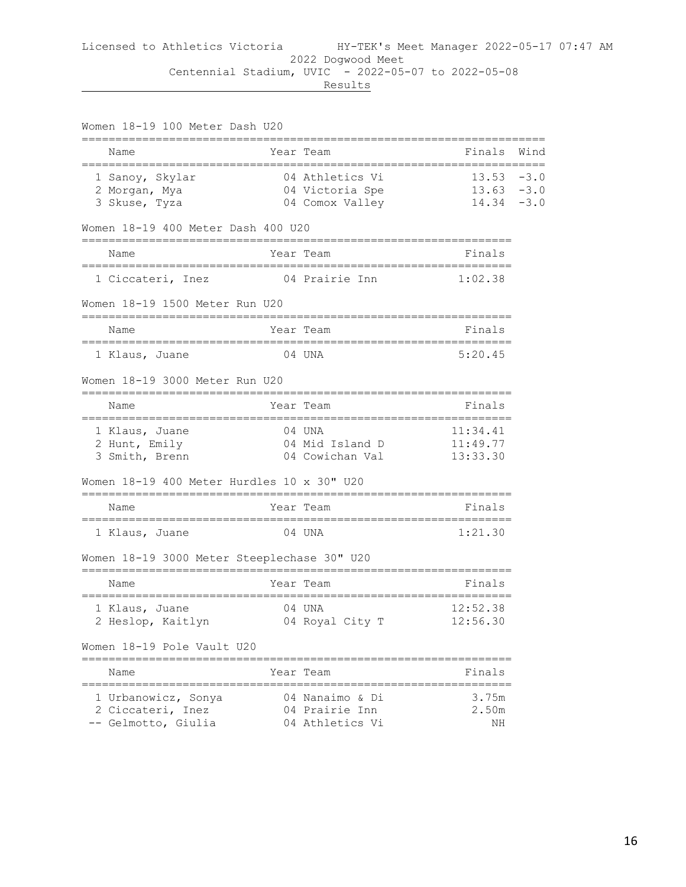| Women 18-19 100 Meter Dash U20                                  |               |                                                       |                                         |        |
|-----------------------------------------------------------------|---------------|-------------------------------------------------------|-----------------------------------------|--------|
| Name                                                            |               | Year Team                                             | Finals                                  | Wind   |
| 1 Sanoy, Skylar<br>2 Morgan, Mya<br>3 Skuse, Tyza               |               | 04 Athletics Vi<br>04 Victoria Spe<br>04 Comox Valley | $13.53 - 3.0$<br>$13.63 - 3.0$<br>14.34 | $-3.0$ |
| Women 18-19 400 Meter Dash 400 U20                              |               |                                                       |                                         |        |
| Name<br>----------------------                                  |               | Year Team                                             | Finals                                  |        |
| 1 Ciccateri, Inez                                               | ============= | -=============================<br>04 Prairie Inn      | 1:02.38                                 |        |
| Women 18-19 1500 Meter Run U20                                  |               |                                                       |                                         |        |
| Name                                                            |               | Year Team                                             | Finals                                  |        |
| 1 Klaus, Juane                                                  |               | 04 UNA                                                | 5:20.45                                 |        |
| Women 18-19 3000 Meter Run U20                                  |               |                                                       |                                         |        |
| Name                                                            |               | Year Team                                             | Finals                                  |        |
| 1 Klaus, Juane<br>2 Hunt, Emily<br>3 Smith, Brenn               |               | 04 UNA<br>04 Mid Island D<br>04 Cowichan Val          | 11:34.41<br>11:49.77<br>13:33.30        |        |
| Women 18-19 400 Meter Hurdles 10 x 30" U20                      |               |                                                       |                                         |        |
| Name                                                            |               | Year Team                                             | Finals                                  |        |
| 1 Klaus, Juane                                                  |               | 04 UNA                                                | 1:21.30                                 |        |
| Women 18-19 3000 Meter Steeplechase 30" U20                     |               |                                                       |                                         |        |
| Name<br>======================================                  |               | Year Team                                             | Finals                                  |        |
| 1 Klaus, Juane<br>2 Heslop, Kaitlyn                             |               | 04 UNA<br>04 Royal City T                             | 12:52.38<br>12:56.30                    |        |
| Women 18-19 Pole Vault U20                                      |               |                                                       |                                         |        |
| Name                                                            |               | Year Team                                             | Finals                                  |        |
| 1 Urbanowicz, Sonya<br>2 Ciccateri, Inez<br>-- Gelmotto, Giulia |               | 04 Nanaimo & Di<br>04 Prairie Inn<br>04 Athletics Vi  | 3.75m<br>2.50m<br>ΝH                    |        |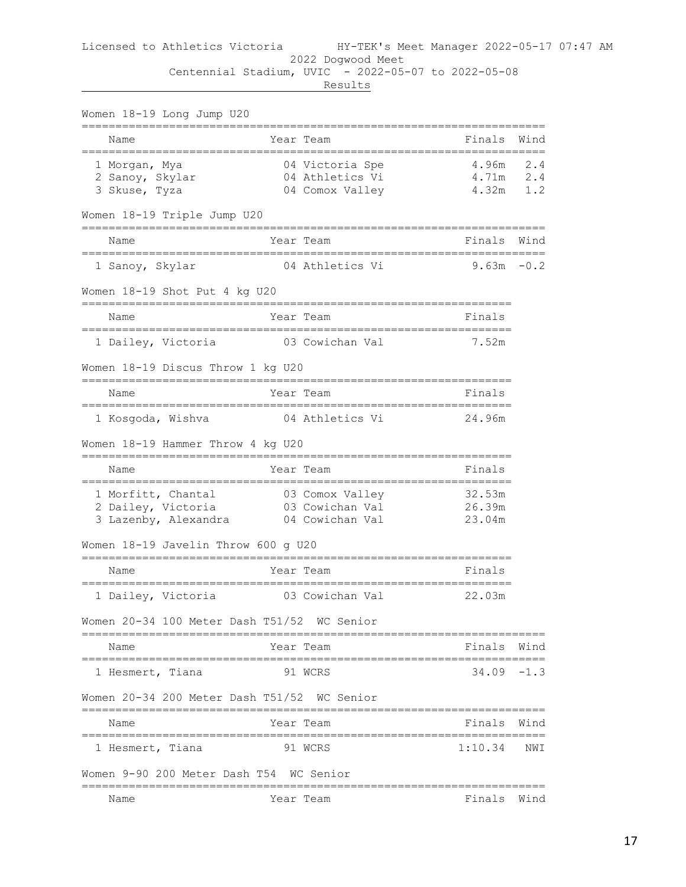| Women 18-19 Long Jump U20                                                                              |                    |                                                       |                                         |            |
|--------------------------------------------------------------------------------------------------------|--------------------|-------------------------------------------------------|-----------------------------------------|------------|
| Name                                                                                                   |                    | Year Team                                             | Finals                                  | Wind       |
| 1 Morgan, Mya<br>2 Sanoy, Skylar<br>3 Skuse, Tyza                                                      |                    | 04 Victoria Spe<br>04 Athletics Vi<br>04 Comox Valley | $4.96m$ 2.4<br>4.71m<br>4.32m           | 2.4<br>1.2 |
| Women 18-19 Triple Jump U20                                                                            |                    |                                                       |                                         |            |
| Name<br>__________________________________                                                             |                    | Year Team                                             | Finals<br>_____________________________ | Wind       |
| 1 Sanoy, Skylar                                                                                        |                    | 04 Athletics Vi                                       | 9.63m                                   | $-0.2$     |
| Women 18-19 Shot Put 4 kg U20                                                                          |                    |                                                       | ================                        |            |
| Name                                                                                                   |                    | Year Team                                             | Finals                                  |            |
| 1 Dailey, Victoria                                                                                     |                    | 03 Cowichan Val                                       | 7.52m                                   |            |
| Women 18-19 Discus Throw 1 kg U20                                                                      |                    |                                                       |                                         |            |
| Name                                                                                                   |                    | Year Team                                             | Finals                                  |            |
| 1 Kosgoda, Wishva                                                                                      |                    | 04 Athletics Vi                                       | 24.96m                                  |            |
| Women 18-19 Hammer Throw 4 kg U20                                                                      |                    |                                                       |                                         |            |
| ______________________________________<br>Name                                                         |                    | Year Team                                             | Finals                                  |            |
| ==================================<br>1 Morfitt, Chantal<br>2 Dailey, Victoria<br>3 Lazenby, Alexandra |                    | 03 Comox Valley<br>03 Cowichan Val<br>04 Cowichan Val | 32.53m<br>26.39m<br>23.04m              |            |
| Women 18-19 Javelin Throw 600 g U20                                                                    |                    |                                                       |                                         |            |
| Name                                                                                                   |                    | Year Team                                             | Finals                                  |            |
| 1 Dailey, Victoria                                                                                     |                    | 03 Cowichan Val                                       | 22.03m                                  |            |
| Women 20–34 100 Meter Dash T51/52  WC Senior                                                           |                    |                                                       |                                         |            |
| Name                                                                                                   |                    | Year Team                                             | Finals                                  | Wind       |
| =====================================<br>1 Hesmert, Tiana                                              |                    | 91 WCRS                                               | ------------<br>$34.09 - 1.3$           |            |
| Women 20-34 200 Meter Dash T51/52 WC Senior                                                            |                    |                                                       |                                         |            |
| ---------------<br>Name                                                                                |                    | ==============================<br>Year Team           | Finals                                  | Wind       |
| 1 Hesmert, Tiana                                                                                       | ;================= | 91 WCRS                                               | 1:10.34                                 | NWI        |
| Women 9-90 200 Meter Dash T54 WC Senior                                                                |                    |                                                       |                                         |            |
| Name                                                                                                   | ----------         | Year Team                                             | Finals                                  | Wind       |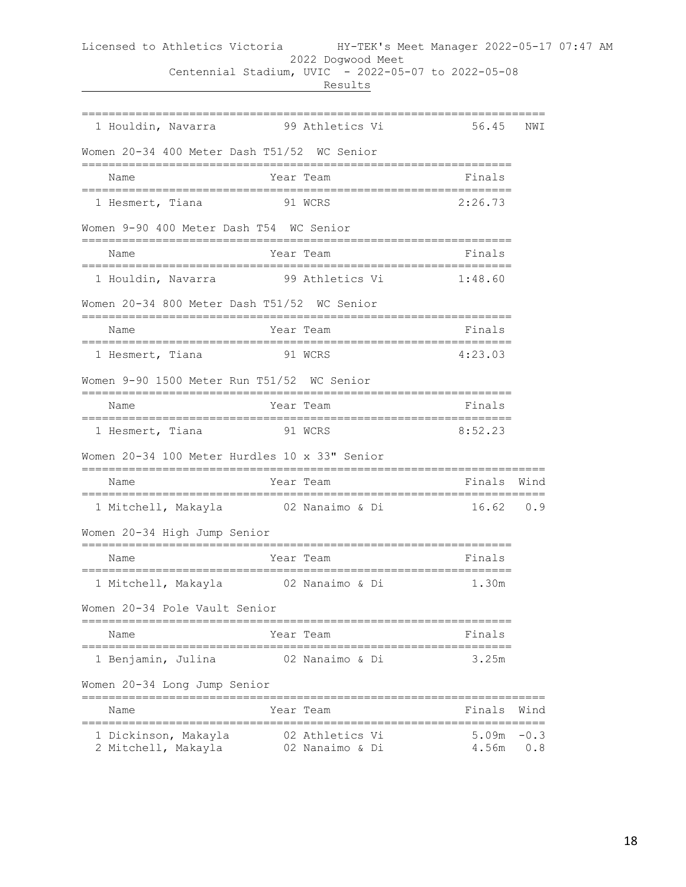|  | Results<br>___ |
|--|----------------|
|--|----------------|

| 1 Houldin, Navarra 59 Athletics Vi            |                                                                  | 56.45          | NWI           |
|-----------------------------------------------|------------------------------------------------------------------|----------------|---------------|
| Women 20-34 400 Meter Dash T51/52 WC Senior   |                                                                  |                |               |
| Name                                          | __________________________<br>Year Team                          | Finals         |               |
| 1 Hesmert, Tiana                              | 91 WCRS                                                          | 2:26.73        |               |
| Women 9-90 400 Meter Dash T54 WC Senior       |                                                                  |                |               |
| . = = = = = = = = = = = = = = = =<br>Name     | .=======<br>_________________________<br>Year Team               | Finals         |               |
| 1 Houldin, Navarra 99 Athletics Vi            |                                                                  | 1:48.60        |               |
| Women 20-34 800 Meter Dash T51/52 WC Senior   |                                                                  |                |               |
| Name                                          | Year Team                                                        | Finals         |               |
| 1 Hesmert, Tiana                              | =========================<br>91 WCRS                             | 4:23.03        |               |
| Women 9-90 1500 Meter Run T51/52 WC Senior    |                                                                  |                |               |
| Name                                          | =========<br>---------------<br>Year Team                        | Finals         |               |
| 1 Hesmert, Tiana 51 WCRS                      |                                                                  | 8:52.23        |               |
| Women 20-34 100 Meter Hurdles 10 x 33" Senior |                                                                  |                |               |
| ------------------<br>Name                    | ;============================<br>Year Team                       | Finals Wind    |               |
| ----------------------------                  | _________________________<br>1 Mitchell, Makayla 62 Nanaimo & Di | $16.62$ 0.9    |               |
| Women 20-34 High Jump Senior                  |                                                                  |                |               |
| Name                                          | Year Team                                                        | Finals         |               |
| 1 Mitchell, Makayla                           | 02 Nanaimo & Di                                                  | 1.30m          |               |
| Women 20-34 Pole Vault Senior                 |                                                                  |                |               |
| Name                                          | Year Team                                                        | Finals         |               |
| 1 Benjamin, Julina                            | 02 Nanaimo & Di                                                  | 3.25m          |               |
| Women 20-34 Long Jump Senior                  |                                                                  |                |               |
| =============<br>Name<br>----------------     | Year Team                                                        | Finals         | Wind          |
| 1 Dickinson, Makayla<br>2 Mitchell, Makayla   | 02 Athletics Vi<br>02 Nanaimo & Di                               | 5.09m<br>4.56m | $-0.3$<br>0.8 |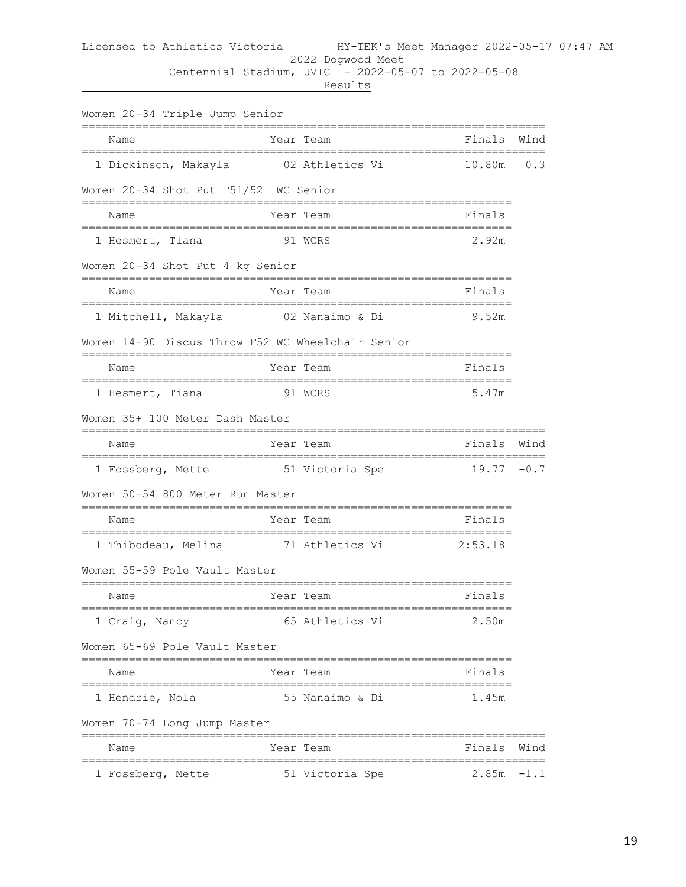| Women 20-34 Triple Jump Senior                    |                 |                                  |                                     |        |
|---------------------------------------------------|-----------------|----------------------------------|-------------------------------------|--------|
| Name                                              |                 | Year Team                        | Finals                              | Wind   |
| 1 Dickinson, Makayla                              |                 | 02 Athletics Vi                  | 10.80m                              | 0.3    |
| Women 20-34 Shot Put T51/52 WC Senior             |                 |                                  |                                     |        |
| -------------------------------<br>Name           |                 | Year Team                        | -------------------------<br>Finals |        |
| 1 Hesmert, Tiana                                  | 91 WCRS         |                                  | 2.92m                               |        |
| Women 20-34 Shot Put 4 kg Senior                  |                 | :=============================== |                                     |        |
| ======================<br>Name                    |                 | Year Team                        | Finals                              |        |
| 1 Mitchell, Makayla                               |                 | 02 Nanaimo & Di                  | 9.52m                               |        |
| Women 14-90 Discus Throw F52 WC Wheelchair Senior |                 |                                  |                                     |        |
| Name                                              | =============== | Year Team                        | Finals                              |        |
| 1 Hesmert, Tiana                                  |                 | 91 WCRS                          | 5.47m                               |        |
| Women 35+ 100 Meter Dash Master                   |                 |                                  |                                     |        |
| Name                                              |                 | Year Team                        | Finals                              | Wind   |
| 1 Fossberg, Mette 51 Victoria Spe                 |                 |                                  | $19.77 - 0.7$                       |        |
| Women 50-54 800 Meter Run Master                  |                 |                                  |                                     |        |
| Name                                              |                 | Year Team                        | Finals                              |        |
| 1 Thibodeau, Melina 51 Athletics Vi               |                 |                                  | 2:53.18                             |        |
| Women 55-59 Pole Vault Master                     |                 |                                  |                                     |        |
| Name                                              |                 | Year Team                        | ====================<br>Finals      |        |
| 1 Craig, Nancy                                    |                 | 65 Athletics Vi                  | 2.50m                               |        |
| Women 65-69 Pole Vault Master                     |                 |                                  |                                     |        |
| Name                                              |                 | Year Team                        | Finals                              |        |
| 1 Hendrie, Nola                                   |                 | 55 Nanaimo & Di                  | 1.45m                               |        |
| Women 70-74 Long Jump Master                      |                 |                                  |                                     |        |
| Name                                              |                 | Year Team                        | Finals                              | Wind   |
| 1 Fossberg, Mette                                 |                 | 51 Victoria Spe                  | 2.85m                               | $-1.1$ |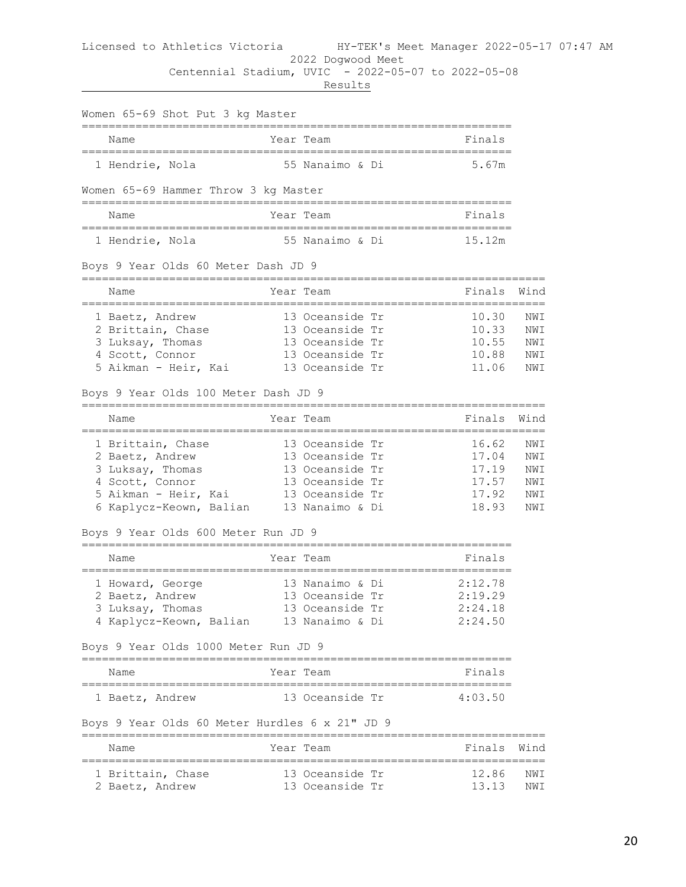#### Licensed to Athletics Victoria HY-TEK's Meet Manager 2022-05-17 07:47 AM 2022 Dogwood Meet

Centennial Stadium, UVIC - 2022-05-07 to 2022-05-08

| Women 65-69 Shot Put 3 kg Master                                           |                 |                        |                              |      |
|----------------------------------------------------------------------------|-----------------|------------------------|------------------------------|------|
| ;=====================<br>Name                                             | Year Team       |                        | Finals                       |      |
| 1 Hendrie, Nola                                                            | 55 Nanaimo & Di |                        | 5.67m                        |      |
| Women 65-69 Hammer Throw 3 kg Master<br>================                   |                 |                        |                              |      |
| Name                                                                       | Year Team       |                        | Finals                       |      |
| 1 Hendrie, Nola                                                            | 55 Nanaimo & Di |                        | 15.12m                       |      |
| Boys 9 Year Olds 60 Meter Dash JD 9                                        |                 |                        |                              |      |
| Name<br>;====================                                              | Year Team       |                        | Finals<br>================== | Wind |
| 1 Baetz, Andrew                                                            | 13 Oceanside Tr |                        | 10.30                        | NWI  |
| 2 Brittain, Chase                                                          | 13 Oceanside Tr |                        | 10.33                        | NWI  |
| 3 Luksay, Thomas                                                           | 13 Oceanside Tr |                        | 10.55                        | NWI  |
| 4 Scott, Connor                                                            | 13 Oceanside Tr |                        | 10.88                        | NWI  |
| 5 Aikman - Heir, Kai                                                       | 13 Oceanside Tr |                        | 11.06                        | NWI  |
| Boys 9 Year Olds 100 Meter Dash JD 9<br>-================================= |                 |                        |                              |      |
| Name                                                                       | Year Team       |                        | Finals                       | Wind |
| 1 Brittain, Chase                                                          | 13 Oceanside Tr |                        | 16.62                        | NWI  |
| 2 Baetz, Andrew                                                            | 13 Oceanside Tr |                        | 17.04                        | NWI  |
| 3 Luksay, Thomas                                                           | 13 Oceanside Tr |                        | 17.19                        | NWI  |
| 4 Scott, Connor                                                            | 13 Oceanside Tr |                        | 17.57                        | NWI  |
| 5 Aikman - Heir, Kai                                                       | 13 Oceanside Tr |                        | 17.92                        | NWI  |
| 6 Kaplycz-Keown, Balian 13 Nanaimo & Di                                    |                 |                        | 18.93                        | NWI  |
| Boys 9 Year Olds 600 Meter Run JD 9                                        |                 |                        |                              |      |
| Name                                                                       | Year Team       |                        | Finals                       |      |
| 1 Howard, George                                                           | 13 Nanaimo & Di |                        | 2:12.78                      |      |
| 2 Baetz, Andrew                                                            | 13 Oceanside Tr |                        | 2:19.29                      |      |
| 3 Luksay, Thomas                                                           | 13 Oceanside Tr |                        | 2:24.18                      |      |
| 4 Kaplycz-Keown, Balian 13 Nanaimo & Di                                    |                 |                        | 2:24.50                      |      |
| Boys 9 Year Olds 1000 Meter Run JD 9                                       |                 |                        |                              |      |
| Name                                                                       | Year Team       |                        | Finals                       |      |
| 1 Baetz, Andrew                                                            | 13 Oceanside Tr |                        | 4:03.50                      |      |
| Boys 9 Year Olds 60 Meter Hurdles 6 x 21" JD 9                             |                 |                        |                              |      |
| Name                                                                       | Year Team       |                        | Finals                       | Wind |
| ;====================================<br>1 Brittain, Chase                 | 13 Oceanside Tr | ====================== | 12.86                        | NWI  |
| 2 Baetz, Andrew                                                            | 13 Oceanside Tr |                        | 13.13                        | NWI  |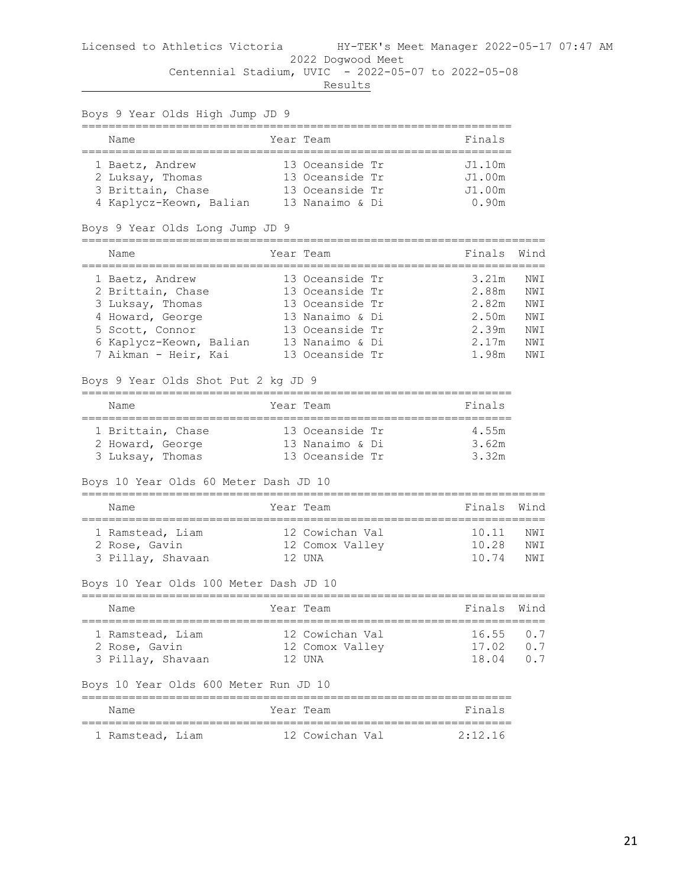| Boys 9 Year Olds High Jump JD 9                                |                                    |                             |            |
|----------------------------------------------------------------|------------------------------------|-----------------------------|------------|
| ======================<br>Name<br>---------------------------- | Year Team                          | Finals                      |            |
| 1 Baetz, Andrew<br>2 Luksay, Thomas                            | 13 Oceanside Tr<br>13 Oceanside Tr | J1.10m<br>J1.00m            |            |
| 3 Brittain, Chase<br>4 Kaplycz-Keown, Balian                   | 13 Oceanside Tr<br>13 Nanaimo & Di | J1.00m<br>0.90 <sub>m</sub> |            |
| Boys 9 Year Olds Long Jump JD 9                                |                                    |                             |            |
| Name                                                           | Year Team                          | Finals                      | Wind       |
| 1 Baetz, Andrew<br>2 Brittain, Chase                           | 13 Oceanside Tr<br>13 Oceanside Tr | 3.21m<br>2.88m              | NWI<br>NWI |
| 3 Luksay, Thomas                                               | 13 Oceanside Tr                    | 2.82m                       | NWI        |
| 4 Howard, George                                               | 13 Nanaimo & Di                    | 2.50m                       | NWI        |
| 5 Scott, Connor                                                | 13 Oceanside Tr                    | 2.39m                       | NWI        |
| 6 Kaplycz-Keown, Balian                                        | 13 Nanaimo & Di                    | 2.17m                       | NWI        |
| 7 Aikman - Heir, Kai                                           | 13 Oceanside Tr                    | 1.98m                       | NWI        |
| Boys 9 Year Olds Shot Put 2 kg JD 9                            |                                    |                             |            |
| Name                                                           | Year Team                          | Finals<br>=======           |            |
| 1 Brittain, Chase                                              | 13 Oceanside Tr                    | 4.55m                       |            |
| 2 Howard, George                                               | 13 Nanaimo & Di                    | 3.62m                       |            |
| 3 Luksay, Thomas                                               | 13 Oceanside Tr                    | 3.32m                       |            |
| Boys 10 Year Olds 60 Meter Dash JD 10                          |                                    |                             |            |
| Name                                                           | Year Team                          | Finals                      | Wind       |
| 1 Ramstead, Liam                                               | 12 Cowichan Val                    | ===============<br>10.11    | NWI        |
| 2 Rose, Gavin                                                  | 12 Comox Valley                    | 10.28                       | NWI        |
| 3 Pillay, Shavaan                                              | 12 UNA                             | 10.74                       | NWI        |
| Boys 10 Year Olds 100 Meter Dash JD 10                         |                                    |                             |            |
| Name                                                           | Year Team                          | Finals Wind                 |            |
| 1 Ramstead, Liam                                               | 12 Cowichan Val                    | $16.55$ 0.7                 |            |
| 2 Rose, Gavin                                                  | 12 Comox Valley                    | 17.02 0.7                   |            |
| 3 Pillay, Shavaan                                              | 12 UNA                             | 18.04 0.7                   |            |
| Boys 10 Year Olds 600 Meter Run JD 10                          |                                    |                             |            |
| Name                                                           | Year Team                          | Finals                      |            |
| 1 Ramstead, Liam 12 Cowichan Val 2:12.16                       |                                    |                             |            |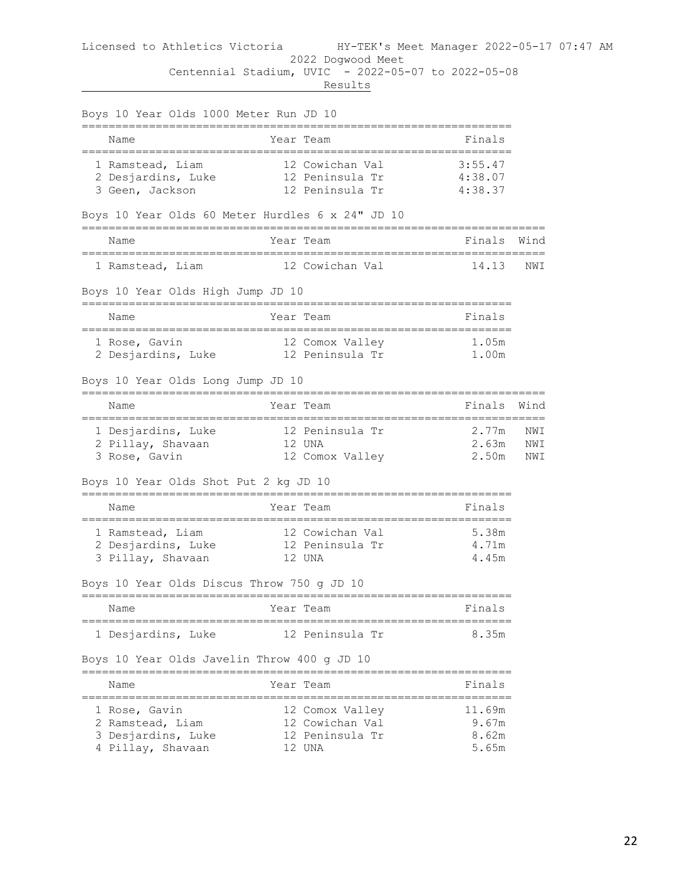|                 | Boys 10 Year Olds 1000 Meter Run JD 10                                      |                                                                 |                                        |                   |
|-----------------|-----------------------------------------------------------------------------|-----------------------------------------------------------------|----------------------------------------|-------------------|
| Name            |                                                                             | Year Team                                                       | Finals                                 |                   |
|                 | 1 Ramstead, Liam<br>2 Desjardins, Luke<br>3 Geen, Jackson                   | 12 Cowichan Val<br>12 Peninsula Tr<br>12 Peninsula Tr           | 3:55.47<br>4:38.07<br>4:38.37          |                   |
|                 | Boys 10 Year Olds 60 Meter Hurdles 6 x 24" JD 10                            |                                                                 |                                        |                   |
| Name            |                                                                             | Year Team                                                       | Finals<br>---------------------------- | Wind              |
|                 | 1 Ramstead, Liam 12 Cowichan Val                                            |                                                                 | 14.13                                  | NWI               |
|                 | Boys 10 Year Olds High Jump JD 10                                           |                                                                 |                                        |                   |
| Name            |                                                                             | Year Team<br>-============================                      | Finals                                 |                   |
| 1 Rose, Gavin   | 2 Desjardins, Luke                                                          | 12 Comox Valley<br>12 Peninsula Tr                              | 1.05m<br>1.00m                         |                   |
|                 | Boys 10 Year Olds Long Jump JD 10                                           |                                                                 |                                        |                   |
| Name            |                                                                             | Year Team                                                       | Finals                                 | Wind              |
| 3 Rose, Gavin   | 1 Desjardins, Luke<br>2 Pillay, Shavaan                                     | 12 Peninsula Tr<br>12 UNA<br>12 Comox Valley                    | 2.77m<br>2.63m<br>2.50m                | NWI<br>NWI<br>NWI |
|                 | Boys 10 Year Olds Shot Put 2 kg JD 10                                       |                                                                 |                                        |                   |
| Name            |                                                                             | Year Team                                                       | Finals                                 |                   |
|                 | 1 Ramstead, Liam<br>2 Desjardins, Luke 12 Peninsula Tr<br>3 Pillay, Shavaan | 12 Cowichan Val<br>12 UNA                                       | 5.38m<br>4.71m<br>4.45m                |                   |
|                 | Boys 10 Year Olds Discus Throw 750 g JD 10                                  |                                                                 |                                        |                   |
| Name            |                                                                             | Year Team                                                       | Fınals                                 |                   |
|                 | 1 Desjardins, Luke<br>Boys 10 Year Olds Javelin Throw 400 g JD 10           | 12 Peninsula Tr                                                 | 8.35m                                  |                   |
|                 |                                                                             |                                                                 |                                        |                   |
| Name<br>_______ | ==========================                                                  | Year Team<br>-------                                            | Finals                                 |                   |
| 1 Rose, Gavin   | 2 Ramstead, Liam<br>3 Desjardins, Luke<br>4 Pillay, Shavaan                 | 12 Comox Valley<br>12 Cowichan Val<br>12 Peninsula Tr<br>12 UNA | 11.69m<br>9.67m<br>8.62m<br>5.65m      |                   |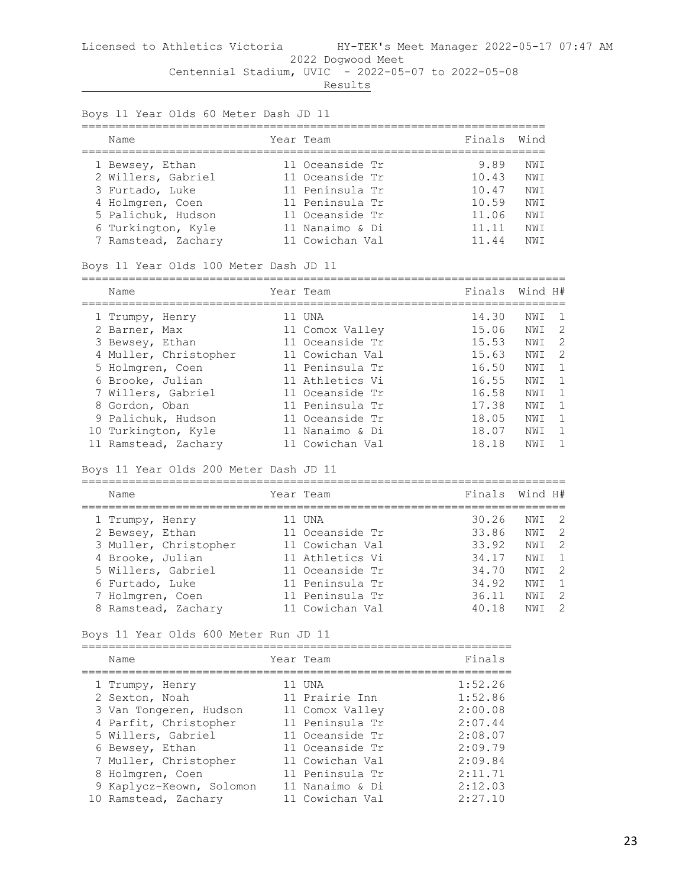Results

Boys 11 Year Olds 60 Meter Dash JD 11

| Name                                                            | Year Team                                             | Finals Wind             |                    |
|-----------------------------------------------------------------|-------------------------------------------------------|-------------------------|--------------------|
| 1 Bewsey, Ethan<br>2 Willers, Gabriel                           | 11 Oceanside Tr<br>11 Oceanside Tr                    | 9.89<br>10.43           | NW T<br>NWI        |
| 3 Furtado, Luke<br>4 Holmgren, Coen                             | 11 Peninsula Tr<br>11 Peninsula Tr                    | 10.47<br>10.59          | NW T<br>NW T       |
| 5 Palichuk, Hudson<br>6 Turkington, Kyle<br>7 Ramstead, Zachary | 11 Oceanside Tr<br>11 Nanaimo & Di<br>11 Cowichan Val | 11.06<br>11.11<br>11.44 | NWI<br>NWI<br>NW T |

Boys 11 Year Olds 100 Meter Dash JD 11

| Name                  | Year Team       | Finals | Wind H# |    |
|-----------------------|-----------------|--------|---------|----|
|                       |                 |        |         |    |
| 1 Trumpy, Henry       | 11 UNA          | 14.30  | NWI     |    |
| 2 Barner, Max         | 11 Comox Valley | 15.06  | NWI     | -2 |
| 3 Bewsey, Ethan       | 11 Oceanside Tr | 15.53  | NWI     | 2  |
| 4 Muller, Christopher | 11 Cowichan Val | 15.63  | NWI     | -2 |
| 5 Holmgren, Coen      | 11 Peninsula Tr | 16.50  | NW T    |    |
| 6 Brooke, Julian      | 11 Athletics Vi | 16.55  | NWI     |    |
| 7 Willers, Gabriel    | 11 Oceanside Tr | 16.58  | NW T    |    |
| 8 Gordon, Oban        | 11 Peninsula Tr | 17.38  | NW T    |    |
| 9 Palichuk, Hudson    | 11 Oceanside Tr | 18.05  | NWI     |    |
| 10 Turkington, Kyle   | 11 Nanaimo & Di | 18.07  | NWI     |    |
| 11 Ramstead, Zachary  | 11 Cowichan Val | 18.18  | NW T    |    |

Boys 11 Year Olds 200 Meter Dash JD 11

======================================================================== Name Year Team Finals Wind H# ======================================================================== 1 Trumpy, Henry 11 UNA 30.26 NWI 2 2 Bewsey, Ethan 11 Oceanside Tr 33.86 NWI 2 3 Muller, Christopher 11 Cowichan Val 33.92 NWI 2 4 Brooke, Julian 11 Athletics Vi 34.17 NWI 1 5 Willers, Gabriel 11 Oceanside Tr 34.70 NWI 2 6 Furtado, Luke 11 Peninsula Tr 34.92 NWI 1 7 Holmgren, Coen 11 Peninsula Tr 36.11 NWI 2 8 Ramstead, Zachary 11 Cowichan Val 40.18 NWI 2

Boys 11 Year Olds 600 Meter Run JD 11

| Name                     | Year Team |                 | Finals  |
|--------------------------|-----------|-----------------|---------|
| 1 Trumpy, Henry          |           | 11 UNA          | 1:52.26 |
| 2 Sexton, Noah           |           | 11 Prairie Inn  | 1:52.86 |
| 3 Van Tongeren, Hudson   |           | 11 Comox Valley | 2:00.08 |
| 4 Parfit, Christopher    |           | 11 Peninsula Tr | 2:07.44 |
| 5 Willers, Gabriel       |           | 11 Oceanside Tr | 2:08.07 |
| 6 Bewsey, Ethan          |           | 11 Oceanside Tr | 2:09.79 |
| 7 Muller, Christopher    |           | 11 Cowichan Val | 2:09.84 |
| 8 Holmgren, Coen         |           | 11 Peninsula Tr | 2:11.71 |
| 9 Kaplycz-Keown, Solomon |           | 11 Nanaimo & Di | 2:12.03 |
| 10 Ramstead, Zachary     |           | 11 Cowichan Val | 2:27.10 |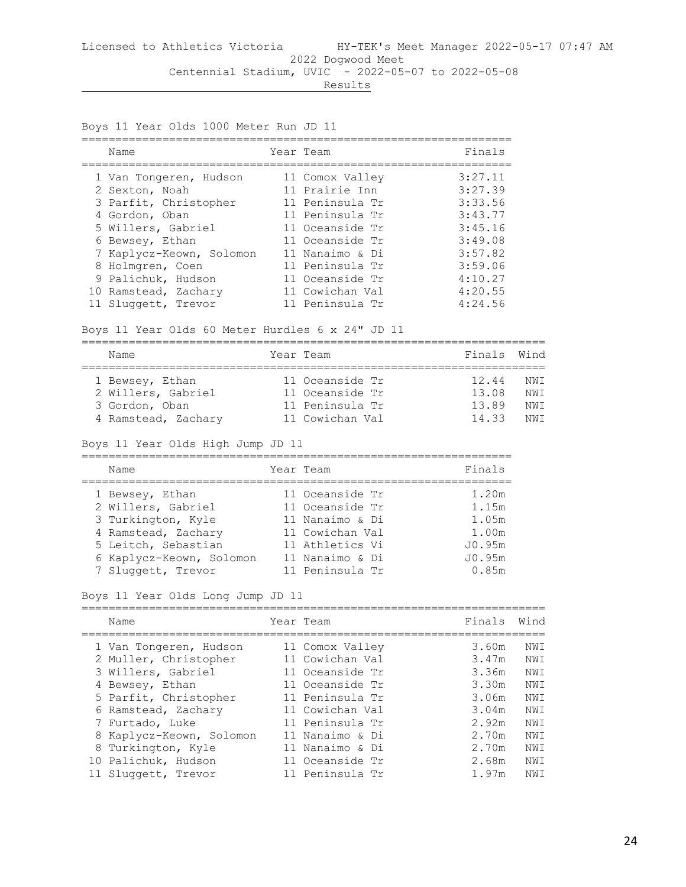Boys 11 Year Olds 1000 Meter Run JD 11 ================================================================ Name Year Team Finals ================================================================ 1 Van Tongeren, Hudson 11 Comox Valley 3:27.11 2 Sexton, Noah 11 Prairie Inn 3:27.39 3 Parfit, Christopher 11 Peninsula Tr 3:33.56 4 Gordon, Oban 11 Peninsula Tr 3:43.77 5 Willers, Gabriel 11 Oceanside Tr 3:45.16 6 Bewsey, Ethan 11 Oceanside Tr 3:49.08 7 Kaplycz-Keown, Solomon 11 Nanaimo & Di 3:57.82 8 Holmgren, Coen 11 Peninsula Tr 3:59.06 9 Palichuk, Hudson 11 Oceanside Tr 4:10.27 10 Ramstead, Zachary 11 Cowichan Val 4:20.55 11 Sluggett, Trevor 11 Peninsula Tr 4:24.56

#### Boys 11 Year Olds 60 Meter Hurdles 6 x 24" JD 11

|  | Name                | Year Team |                 | Finals Wind |      |  |  |  |  |
|--|---------------------|-----------|-----------------|-------------|------|--|--|--|--|
|  |                     |           |                 |             |      |  |  |  |  |
|  | 1 Bewsey, Ethan     |           | 11 Oceanside Tr | 12.44       | NWT  |  |  |  |  |
|  | 2 Willers, Gabriel  |           | 11 Oceanside Tr | 13.08       | NWT  |  |  |  |  |
|  | 3 Gordon, Oban      |           | 11 Peninsula Tr | 13.89       | NWT  |  |  |  |  |
|  | 4 Ramstead, Zachary |           | 11 Cowichan Val | 1433        | NW T |  |  |  |  |

#### Boys 11 Year Olds High Jump JD 11

| Name                                                                                                                                  | Year Team                                                                                                      | Finals                                               |
|---------------------------------------------------------------------------------------------------------------------------------------|----------------------------------------------------------------------------------------------------------------|------------------------------------------------------|
| 1 Bewsey, Ethan<br>2 Willers, Gabriel<br>3 Turkington, Kyle<br>4 Ramstead, Zachary<br>5 Leitch, Sebastian<br>6 Kaplycz-Keown, Solomon | 11 Oceanside Tr<br>11 Oceanside Tr<br>11 Nanaimo & Di<br>11 Cowichan Val<br>11 Athletics Vi<br>11 Nanaimo & Di | 1.20m<br>1.15m<br>1.05m<br>1.00m<br>J0.95m<br>J0.95m |
| 7 Sluggett, Trevor                                                                                                                    | 11 Peninsula Tr                                                                                                | 0.85m                                                |

#### Boys 11 Year Olds Long Jump JD 11

| Name                     | Year Team       | Finals | Wind |
|--------------------------|-----------------|--------|------|
|                          |                 |        |      |
| 1 Van Tongeren, Hudson   | 11 Comox Valley | 3.60m  | NWI  |
| 2 Muller, Christopher    | 11 Cowichan Val | 3.47m  | NWI  |
| 3 Willers, Gabriel       | 11 Oceanside Tr | 3.36m  | NWI  |
| 4 Bewsey, Ethan          | 11 Oceanside Tr | 3.30m  | NWI  |
| 5 Parfit, Christopher    | 11 Peninsula Tr | 3.06m  | NWI  |
| 6 Ramstead, Zachary      | 11 Cowichan Val | 3.04m  | NWI  |
| 7 Furtado, Luke          | 11 Peninsula Tr | 2.92m  | NWI  |
| 8 Kaplycz-Keown, Solomon | 11 Nanaimo & Di | 2.70m  | NWI  |
| 8 Turkington, Kyle       | 11 Nanaimo & Di | 2.70m  | NWI  |
| 10 Palichuk, Hudson      | 11 Oceanside Tr | 2.68m  | NWI  |
| 11 Sluggett, Trevor      | 11 Peninsula Tr | 1.97m  | NWI  |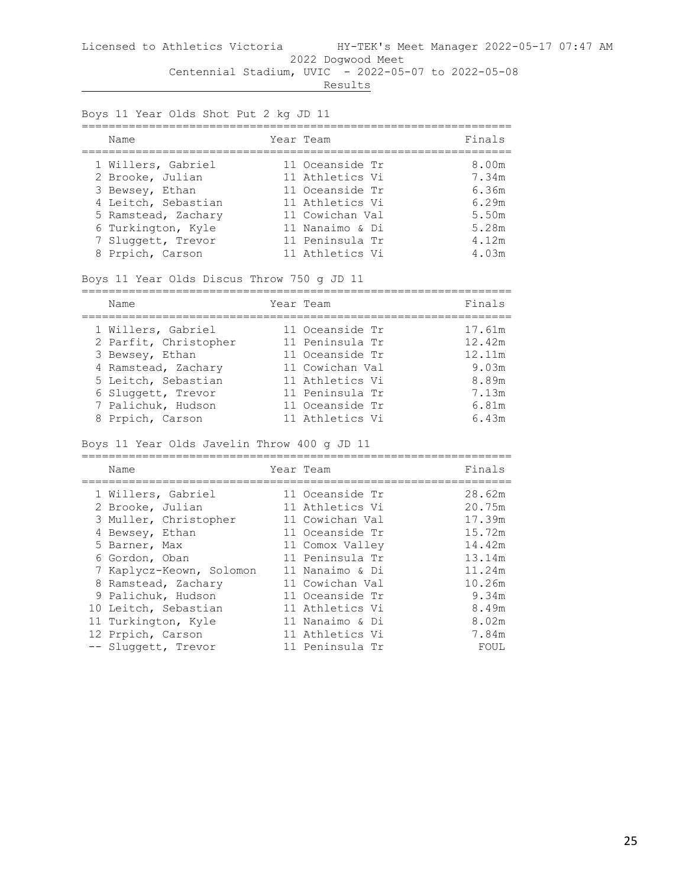Results

Boys 11 Year Olds Shot Put 2 kg JD 11

| Name                                                                                                                                                | Year Team                                                                                                                         | Finals                                                      |
|-----------------------------------------------------------------------------------------------------------------------------------------------------|-----------------------------------------------------------------------------------------------------------------------------------|-------------------------------------------------------------|
| 1 Willers, Gabriel<br>2 Brooke, Julian<br>3 Bewsey, Ethan<br>4 Leitch, Sebastian<br>5 Ramstead, Zachary<br>6 Turkington, Kyle<br>7 Sluggett, Trevor | 11 Oceanside Tr<br>11 Athletics Vi<br>11 Oceanside Tr<br>11 Athletics Vi<br>11 Cowichan Val<br>11 Nanaimo & Di<br>11 Peninsula Tr | 8.00m<br>7.34m<br>6.36m<br>6.29m<br>5.50m<br>5.28m<br>4.12m |
| 8 Prpich, Carson                                                                                                                                    | 11 Athletics Vi                                                                                                                   | 4.03m                                                       |

Boys 11 Year Olds Discus Throw 750 g JD 11

| Name                  | Year Team       | Finals |
|-----------------------|-----------------|--------|
| 1 Willers, Gabriel    | 11 Oceanside Tr | 17.61m |
| 2 Parfit, Christopher | 11 Peninsula Tr | 12.42m |
| 3 Bewsey, Ethan       | 11 Oceanside Tr | 12.11m |
| 4 Ramstead, Zachary   | 11 Cowichan Val | 9.03m  |
| 5 Leitch, Sebastian   | 11 Athletics Vi | 8.89m  |
| 6 Sluggett, Trevor    | 11 Peninsula Tr | 7.13m  |
| 7 Palichuk, Hudson    | 11 Oceanside Tr | 6.81m  |
| 8 Prpich, Carson      | 11 Athletics Vi | 6.43m  |

Boys 11 Year Olds Javelin Throw 400 g JD 11

| Name                     | Year Team       | Finals |
|--------------------------|-----------------|--------|
| 1 Willers, Gabriel       | 11 Oceanside Tr | 28.62m |
| 2 Brooke, Julian         | 11 Athletics Vi | 20.75m |
| 3 Muller, Christopher    | 11 Cowichan Val | 17.39m |
| 4 Bewsey, Ethan          | 11 Oceanside Tr | 15.72m |
| 5 Barner, Max            | 11 Comox Valley | 14.42m |
| 6 Gordon, Oban           | 11 Peninsula Tr | 13.14m |
| 7 Kaplycz-Keown, Solomon | 11 Nanaimo & Di | 11.24m |
| 8 Ramstead, Zachary      | 11 Cowichan Val | 10.26m |
| 9 Palichuk, Hudson       | 11 Oceanside Tr | 9.34m  |
| 10 Leitch, Sebastian     | 11 Athletics Vi | 8.49m  |
| 11 Turkington, Kyle      | 11 Nanaimo & Di | 8.02m  |
| 12 Prpich, Carson        | 11 Athletics Vi | 7.84m  |
| -- Sluggett, Trevor      | 11 Peninsula Tr | FOUL   |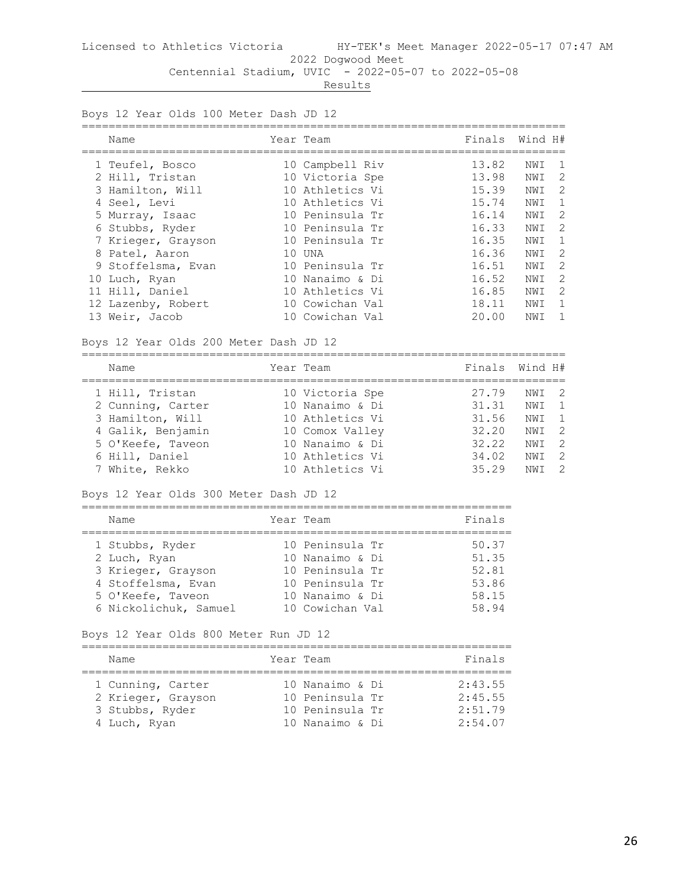**Results** 

Boys 12 Year Olds 100 Meter Dash JD 12

| Name               | Year Team       | Finals | Wind H# |               |
|--------------------|-----------------|--------|---------|---------------|
| 1 Teufel, Bosco    | 10 Campbell Riv | 13.82  | NWI     |               |
| 2 Hill, Tristan    | 10 Victoria Spe | 13.98  | NWI     | -2            |
| 3 Hamilton, Will   | 10 Athletics Vi | 15.39  | NWI     | $\mathcal{P}$ |
| 4 Seel, Levi       | 10 Athletics Vi | 15.74  | NWI     |               |
| 5 Murray, Isaac    | 10 Peninsula Tr | 16.14  | NWI     | -2            |
| 6 Stubbs, Ryder    | 10 Peninsula Tr | 16.33  | NWI     | $\mathcal{L}$ |
| 7 Krieger, Grayson | 10 Peninsula Tr | 16.35  | NWI     |               |
| 8 Patel, Aaron     | 10 UNA          | 16.36  | NWI     | 2             |
| 9 Stoffelsma, Evan | 10 Peninsula Tr | 16.51  | NWI     | 2             |
| 10 Luch, Ryan      | 10 Nanaimo & Di | 16.52  | NWI     | $\mathcal{D}$ |
| 11 Hill, Daniel    | 10 Athletics Vi | 16.85  | NWI     | $\mathcal{D}$ |
| 12 Lazenby, Robert | 10 Cowichan Val | 18.11  | NWI     |               |
| 13 Weir, Jacob     | 10 Cowichan Val | 20.00  | NWI     |               |

Boys 12 Year Olds 200 Meter Dash JD 12

| Name              | Year Team       | Finals Wind H# |                  |  |
|-------------------|-----------------|----------------|------------------|--|
| 1 Hill, Tristan   | 10 Victoria Spe | 27.79          | NWI 2            |  |
| 2 Cunning, Carter | 10 Nanaimo & Di | 31.31          | NW T             |  |
| 3 Hamilton, Will  | 10 Athletics Vi | 31.56          | NWT              |  |
| 4 Galik, Benjamin | 10 Comox Valley | 32.20          | NWT <sub>2</sub> |  |
| 5 O'Keefe, Taveon | 10 Nanaimo & Di | 32.22          | NWT              |  |
| 6 Hill, Daniel    | 10 Athletics Vi | 34.02          | NW T             |  |
| 7 White, Rekko    | 10 Athletics Vi | 35.29          | NM T             |  |

#### Boys 12 Year Olds 300 Meter Dash JD 12

| Name                                    | Year Team                          | Finals         |
|-----------------------------------------|------------------------------------|----------------|
| 1 Stubbs, Ryder                         | 10 Peninsula Tr<br>10 Nanaimo & Di | 50.37<br>51.35 |
| 2 Luch, Ryan<br>3 Krieger, Grayson      | 10 Peninsula Tr                    | 52.81          |
| 4 Stoffelsma, Evan<br>5 O'Keefe, Taveon | 10 Peninsula Tr<br>10 Nanaimo & Di | 53.86<br>58.15 |
| 6 Nickolichuk, Samuel                   | 10 Cowichan Val                    | 58.94          |

## Boys 12 Year Olds 800 Meter Run JD 12

| Name               | Year Team       | Finals  |
|--------------------|-----------------|---------|
| 1 Cunning, Carter  | 10 Nanaimo & Di | 2:43.55 |
| 2 Krieger, Grayson | 10 Peninsula Tr | 2:45.55 |
| 3 Stubbs, Ryder    | 10 Peninsula Tr | 2:51.79 |
| 4 Luch, Ryan       | 10 Nanaimo & Di | 2:54.07 |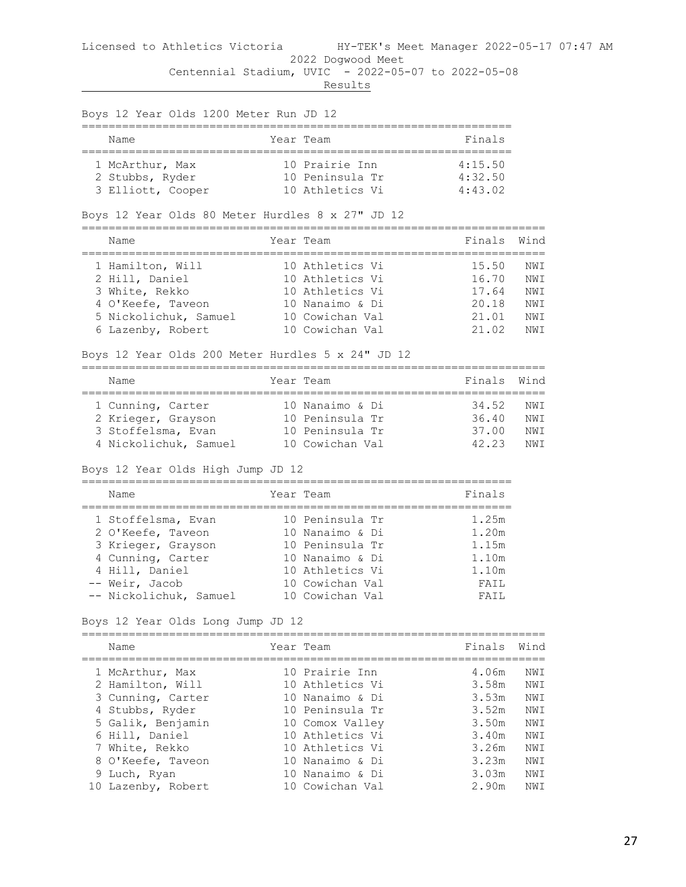Results

Boys 12 Year Olds 1200 Meter Run JD 12 ================================================================ Name **South State Team State State State State** State State State State State State State State State State State ================================================================ 1 McArthur, Max 10 Prairie Inn 4:15.50 2 Stubbs, Ryder 10 Peninsula Tr 4:32.50 3 Elliott, Cooper 10 Athletics Vi 4:43.02 Boys 12 Year Olds 80 Meter Hurdles 8 x 27" JD 12 ===================================================================== Name **South States And State Team** Finals Wind ===================================================================== 1 Hamilton, Will 10 Athletics Vi 15.50 NWI 2 Hill, Daniel 10 Athletics Vi 16.70 NWI 3 White, Rekko 10 Athletics Vi 17.64 NWI 4 O'Keefe, Taveon 10 Nanaimo & Di 20.18 NWI 5 Nickolichuk, Samuel 10 Cowichan Val 21.01 NWI 6 Lazenby, Robert 10 Cowichan Val 21.02 NWI Boys 12 Year Olds 200 Meter Hurdles 5 x 24" JD 12 ===================================================================== Name **The Year Team** Team **Finals** Wind ===================================================================== 1 Cunning, Carter 10 Nanaimo & Di 34.52 NWI 2 Krieger, Grayson 10 Peninsula Tr 36.40 NWI 3 Stoffelsma, Evan 10 Peninsula Tr 37.00 NWI 4 Nickolichuk, Samuel 10 Cowichan Val 42.23 NWI Boys 12 Year Olds High Jump JD 12 ================================================================ Name **Name** Year Team **Finals** ================================================================ 1 Stoffelsma, Evan 10 Peninsula Tr 1.25m 2 O'Keefe, Taveon 10 Nanaimo & Di 1.20m 3 Krieger, Grayson 10 Peninsula Tr 1.15m 4 Cunning, Carter 10 Nanaimo & Di 1.10m 4 Hill, Daniel 10 Athletics Vi 1.10m -- Weir, Jacob 10 Cowichan Val FAIL

#### Boys 12 Year Olds Long Jump JD 12

| Name               | Year Team       | Finals | Wind |
|--------------------|-----------------|--------|------|
| 1 McArthur, Max    | 10 Prairie Inn  | 4.06m  | NWI  |
| 2 Hamilton, Will   | 10 Athletics Vi | 3.58m  | NWI  |
| 3 Cunning, Carter  | 10 Nanaimo & Di | 3.53m  | NWI  |
| 4 Stubbs, Ryder    | 10 Peninsula Tr | 3.52m  | NWI  |
| 5 Galik, Benjamin  | 10 Comox Valley | 3.50m  | NWI  |
| 6 Hill, Daniel     | 10 Athletics Vi | 3.40m  | NWI  |
| 7 White, Rekko     | 10 Athletics Vi | 3.26m  | NWI  |
| 8 O'Keefe, Taveon  | 10 Nanaimo & Di | 3.23m  | NWI  |
| 9 Luch, Ryan       | 10 Nanaimo & Di | 3.03m  | NWI  |
| 10 Lazenby, Robert | 10 Cowichan Val | 2.90m  | NWI  |

-- Nickolichuk, Samuel 10 Cowichan Val FAIL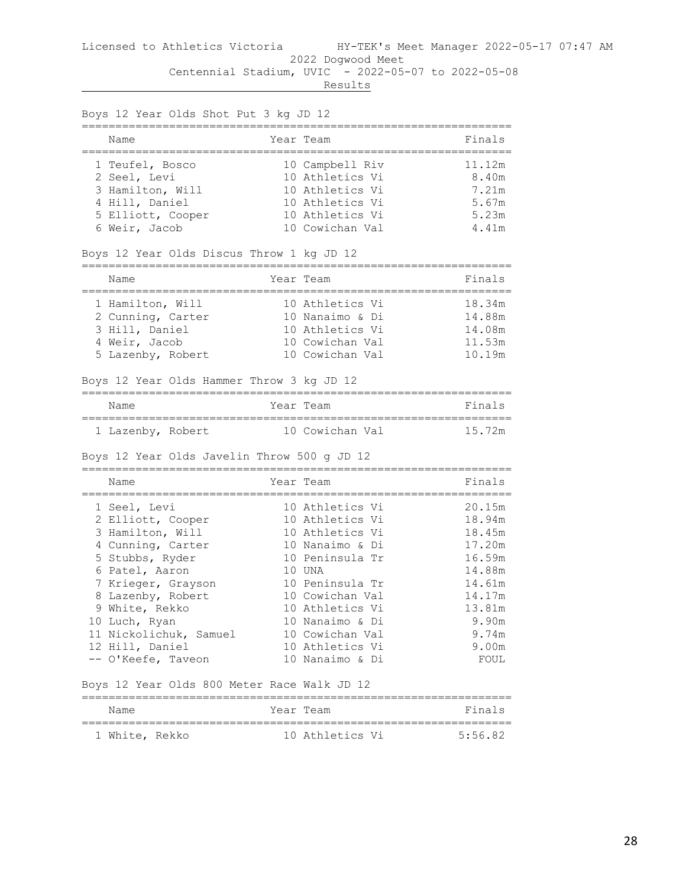| Boys 12 Year Olds Shot Put 3 kg JD 12<br>_____________________________________ |                                                       |                                       |
|--------------------------------------------------------------------------------|-------------------------------------------------------|---------------------------------------|
| Name<br>;====================                                                  | Year Team                                             | Finals                                |
| 1 Teufel, Bosco<br>2 Seel, Levi<br>3 Hamilton, Will                            | 10 Campbell Riv<br>10 Athletics Vi<br>10 Athletics Vi | 11.12m<br>8.40m<br>7.21m              |
| 4 Hill, Daniel                                                                 | 10 Athletics Vi                                       | 5.67m                                 |
| 5 Elliott, Cooper                                                              | 10 Athletics Vi                                       | 5.23m                                 |
| 6 Weir, Jacob                                                                  | 10 Cowichan Val                                       | $4.41m$                               |
| Boys 12 Year Olds Discus Throw 1 kg JD 12                                      |                                                       |                                       |
| Name                                                                           | Year Team                                             | Finals                                |
| 1 Hamilton, Will                                                               | 10 Athletics Vi                                       | 18.34m                                |
| 2 Cunning, Carter                                                              | 10 Nanaimo & Di                                       | 14.88m                                |
| 3 Hill, Daniel                                                                 | 10 Athletics Vi                                       | 14.08m                                |
| 4 Weir, Jacob                                                                  | 10 Cowichan Val                                       | 11.53m                                |
| 5 Lazenby, Robert                                                              | 10 Cowichan Val                                       | 10.19m                                |
| Boys 12 Year Olds Hammer Throw 3 kg JD 12                                      |                                                       |                                       |
| Name                                                                           | Year Team                                             | Finals                                |
| 1 Lazenby, Robert                                                              | 10 Cowichan Val                                       | 15.72m                                |
| Boys 12 Year Olds Javelin Throw 500 g JD 12                                    |                                                       |                                       |
| Name<br>=============                                                          | Year Team                                             | :==========================<br>Finals |
| 1 Seel, Levi                                                                   | 10 Athletics Vi                                       | 20.15m                                |
| 2 Elliott, Cooper                                                              | 10 Athletics Vi                                       | 18.94m                                |
| 3 Hamilton, Will                                                               | 10 Athletics Vi                                       | 18.45m                                |
| 4 Cunning, Carter                                                              | 10 Nanaimo & Di                                       | 17.20m                                |
| 5 Stubbs, Ryder                                                                | 10 Peninsula Tr                                       | 16.59m                                |
| 6 Patel, Aaron                                                                 | 10 UNA                                                | 14.88m                                |
| 7 Krieger, Grayson                                                             | 10 Peninsula Tr                                       | 14.61m                                |
| 8 Lazenby, Robert                                                              | 10 Cowichan Val                                       | 14.17m                                |
| 9 White, Rekko                                                                 | 10 Athletics Vi                                       | 13.81m                                |
| 10 Luch, Ryan                                                                  | 10 Nanaimo & Di                                       | 9.90m                                 |
| 11 Nickolichuk, Samuel                                                         | 10 Cowichan Val                                       | 9.74m                                 |
| 12 Hill, Daniel                                                                | 10 Athletics Vi                                       | 9.00m                                 |
| -- O'Keefe, Taveon                                                             | 10 Nanaimo & Di                                       | FOUL                                  |
| Boys 12 Year Olds 800 Meter Race Walk JD 12                                    |                                                       |                                       |
| Name                                                                           | Year Team                                             | Finals                                |

| Name           |  | Year Team       | $F$ ina' |
|----------------|--|-----------------|----------|
|                |  |                 |          |
| 1 White, Rekko |  | 10 Athletics Vi | 5.56.82  |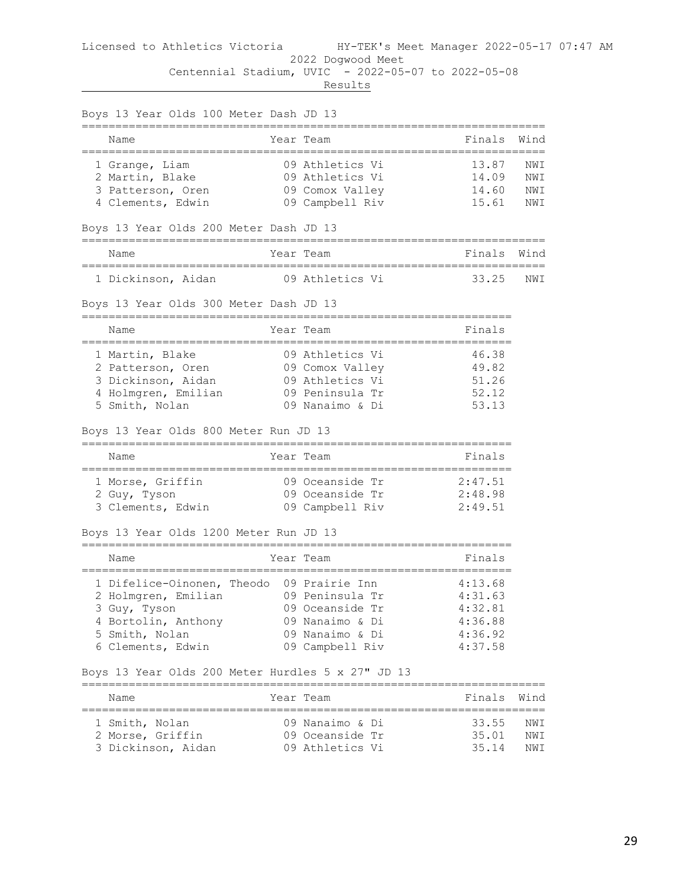|                   | Boys 13 Year Olds 100 Meter Dash JD 13 |                                                   |         |                  |
|-------------------|----------------------------------------|---------------------------------------------------|---------|------------------|
| Name              |                                        | Year Team                                         | Finals  | Wind             |
| 1 Grange, Liam    |                                        | 09 Athletics Vi                                   | 13.87   | NWI              |
| 2 Martin, Blake   |                                        | 09 Athletics Vi                                   | 14.09   | NWI              |
| 3 Patterson, Oren |                                        | 09 Comox Valley                                   | 14.60   | NWI              |
| 4 Clements, Edwin |                                        | 09 Campbell Riv                                   | 15.61   | NWI              |
|                   | Boys 13 Year Olds 200 Meter Dash JD 13 |                                                   |         |                  |
| Name              |                                        | Year Team                                         | Finals  | Wind             |
|                   |                                        | 1 Dickinson, Aidan 69 Athletics Vi                | 33.25   | NWI              |
|                   | Boys 13 Year Olds 300 Meter Dash JD 13 |                                                   |         |                  |
| Name              |                                        | Year Team                                         | Finals  |                  |
| 1 Martin, Blake   |                                        | 09 Athletics Vi                                   | 46.38   |                  |
| 2 Patterson, Oren |                                        | 09 Comox Valley                                   | 49.82   |                  |
|                   | 3 Dickinson, Aidan                     | 09 Athletics Vi                                   | 51.26   |                  |
|                   | 4 Holmgren, Emilian                    | 09 Peninsula Tr                                   | 52.12   |                  |
| 5 Smith, Nolan    |                                        | 09 Nanaimo & Di                                   | 53.13   |                  |
|                   | Boys 13 Year Olds 800 Meter Run JD 13  |                                                   |         |                  |
| Name              |                                        | Year Team                                         | Finals  |                  |
| 1 Morse, Griffin  |                                        | 09 Oceanside Tr                                   | 2:47.51 |                  |
| 2 Guy, Tyson      |                                        | 09 Oceanside Tr                                   | 2:48.98 |                  |
|                   | 3 Clements, Edwin                      | 09 Campbell Riv                                   | 2:49.51 |                  |
|                   | Boys 13 Year Olds 1200 Meter Run JD 13 |                                                   |         |                  |
| Name              |                                        | Year Team                                         | Finals  |                  |
|                   |                                        | 1 Difelice-Oinonen, Theodo 09 Prairie Inn         | 4:13.68 |                  |
|                   | 2 Holmgren, Emilian                    | 09 Peninsula Tr                                   | 4:31.63 |                  |
| 3 Guy, Tyson      |                                        | 09 Oceanside Tr                                   | 4:32.81 |                  |
|                   | 4 Bortolin, Anthony                    | 09 Nanaimo & Di                                   | 4:36.88 |                  |
| 5 Smith, Nolan    |                                        | 09 Nanaimo & Di                                   | 4:36.92 |                  |
|                   | 6 Clements, Edwin                      | 09 Campbell Riv                                   | 4:37.58 |                  |
|                   |                                        | Boys 13 Year Olds 200 Meter Hurdles 5 x 27" JD 13 |         |                  |
| Name              |                                        | Year Team                                         | Finals  | Wind<br>======== |
| 1 Smith, Nolan    |                                        | 09 Nanaimo & Di                                   | 33.55   | NWI              |
| 2 Morse, Griffin  |                                        | 09 Oceanside Tr                                   | 35.01   | NWI              |
|                   | 3 Dickinson, Aidan                     | 09 Athletics Vi                                   | 35.14   | NWI              |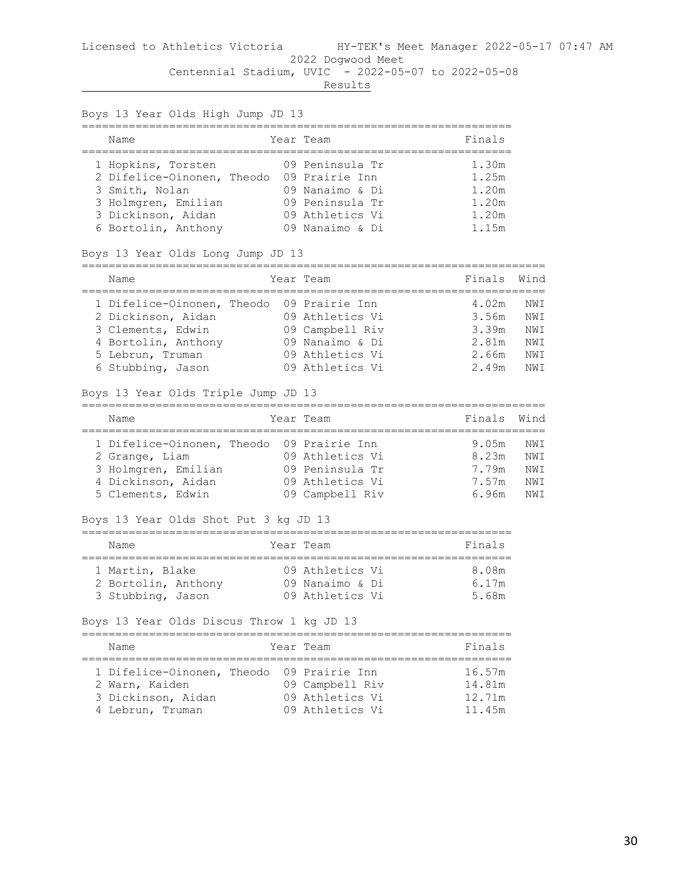| Boys 13 Year Olds High Jump JD 13 |                                                                                                                                                         |  |                                                                                                                |                                                    |                                        |  |
|-----------------------------------|---------------------------------------------------------------------------------------------------------------------------------------------------------|--|----------------------------------------------------------------------------------------------------------------|----------------------------------------------------|----------------------------------------|--|
|                                   | ================<br>Name<br>________________________                                                                                                    |  | Year Team                                                                                                      | Finals                                             |                                        |  |
|                                   | 1 Hopkins, Torsten<br>2 Difelice-Oinonen, Theodo 09 Prairie Inn<br>3 Smith, Nolan<br>3 Holmgren, Emilian<br>3 Dickinson, Aidan<br>6 Bortolin, Anthony   |  | 09 Peninsula Tr<br>09 Nanaimo & Di<br>09 Peninsula Tr<br>09 Athletics Vi<br>09 Nanaimo & Di                    | 1.30m<br>1.25m<br>1.20m<br>1.20m<br>1.20m<br>1.15m |                                        |  |
|                                   | Boys 13 Year Olds Long Jump JD 13                                                                                                                       |  |                                                                                                                |                                                    |                                        |  |
|                                   | Name                                                                                                                                                    |  | Year Team                                                                                                      | Finals                                             | Wind                                   |  |
|                                   | 1 Difelice-Oinonen, Theodo<br>2 Dickinson, Aidan<br>3 Clements, Edwin<br>4 Bortolin, Anthony<br>5 Lebrun, Truman<br>6 Stubbing, Jason                   |  | 09 Prairie Inn<br>09 Athletics Vi<br>09 Campbell Riv<br>09 Nanaimo & Di<br>09 Athletics Vi<br>09 Athletics Vi  | 4.02m<br>3.56m<br>3.39m<br>2.81m<br>2.66m<br>2.49m | NWI<br>NWI<br>NWI<br>NWI<br>NWI<br>NWI |  |
|                                   | Boys 13 Year Olds Triple Jump JD 13                                                                                                                     |  |                                                                                                                |                                                    |                                        |  |
|                                   | =================<br>Name                                                                                                                               |  | Year Team                                                                                                      | Finals                                             | Wind                                   |  |
|                                   | 1 Difelice-Oinonen, Theodo<br>2 Grange, Liam<br>3 Holmgren, Emilian<br>4 Dickinson, Aidan<br>5 Clements, Edwin<br>Boys 13 Year Olds Shot Put 3 kg JD 13 |  | 09 Prairie Inn<br>09 Athletics Vi<br>09 Peninsula Tr<br>09 Athletics Vi<br>09 Campbell Riv                     | 9.05m<br>8.23m<br>7.79m<br>7.57m<br>6.96m          | NWI<br>NWI<br>NWI<br>NWI<br>NWI        |  |
|                                   | Name                                                                                                                                                    |  | Year Team                                                                                                      | Finals                                             |                                        |  |
|                                   | 1 Martin, Blake<br>2 Bortolin, Anthony<br>3 Stubbing, Jason<br>Boys 13 Year Olds Discus Throw 1 kg JD 13                                                |  | 09 Athletics Vi<br>09 Nanaimo & Di<br>09 Athletics Vi                                                          | 8.08m<br>6.17m<br>5.68m                            |                                        |  |
|                                   | Name                                                                                                                                                    |  | Year Team                                                                                                      | Finals                                             |                                        |  |
|                                   | ________________________<br>1 Difelice-Oinonen, Theodo<br>2 Warn, Kaiden<br>3 Dickinson, Aidan<br>4 Lebrun, Truman                                      |  | -----------------------------------<br>09 Prairie Inn<br>09 Campbell Riv<br>09 Athletics Vi<br>09 Athletics Vi | 16.57m<br>14.81m<br>12.71m<br>11.45m               |                                        |  |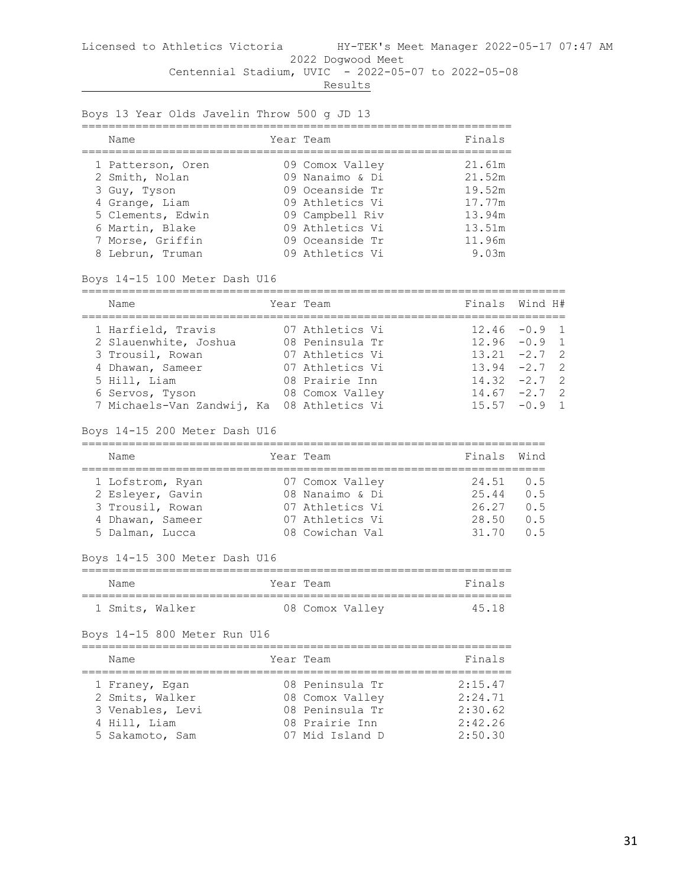Boys 13 Year Olds Javelin Throw 500 g JD 13

| Finals<br>Year Team<br>Name<br>21.61m<br>1 Patterson, Oren<br>09 Comox Valley<br>09 Nanaimo & Di<br>2 Smith, Nolan<br>21.52m<br>09 Oceanside Tr<br>19.52m<br>3 Guy, Tyson<br>4 Grange, Liam<br>09 Athletics Vi<br>17.77m<br>5 Clements, Edwin<br>09 Campbell Riv<br>13.94m<br>09 Athletics Vi<br>13.51m<br>6 Martin, Blake<br>7 Morse, Griffin<br>09 Oceanside Tr<br>11.96m<br>09 Athletics Vi<br>9.03m<br>8 Lebrun, Truman |  |  |  |
|-----------------------------------------------------------------------------------------------------------------------------------------------------------------------------------------------------------------------------------------------------------------------------------------------------------------------------------------------------------------------------------------------------------------------------|--|--|--|
|                                                                                                                                                                                                                                                                                                                                                                                                                             |  |  |  |
|                                                                                                                                                                                                                                                                                                                                                                                                                             |  |  |  |

Boys 14-15 100 Meter Dash U16

| Name                                       | Year Team       | Finals Wind H#  |  |
|--------------------------------------------|-----------------|-----------------|--|
| 1 Harfield, Travis                         | 07 Athletics Vi | $12.46 - 0.9$ 1 |  |
| 2 Slauenwhite, Joshua                      | 08 Peninsula Tr | $12.96 - 0.9$ 1 |  |
| 3 Trousil, Rowan                           | 07 Athletics Vi | $13.21 -2.7$ 2  |  |
| 4 Dhawan, Sameer                           | 07 Athletics Vi | $13.94 -2.7$ 2  |  |
| 5 Hill, Liam                               | 08 Prairie Inn  | $14.32 -2.7$ 2  |  |
| 6 Servos, Tyson                            | 08 Comox Valley | $14.67 - 2.7$ 2 |  |
| 7 Michaels-Van Zandwij, Ka 08 Athletics Vi |                 | $15.57 - 0.9$ 1 |  |

Boys 14-15 200 Meter Dash U16

| Name             |  | Year Team       | Finals Wind |     |  |  |  |
|------------------|--|-----------------|-------------|-----|--|--|--|
|                  |  |                 |             |     |  |  |  |
| 1 Lofstrom, Ryan |  | 07 Comox Valley | 24.51       | 0.5 |  |  |  |
| 2 Esleyer, Gavin |  | 08 Nanaimo & Di | 25.44       | 0.5 |  |  |  |
| 3 Trousil, Rowan |  | 07 Athletics Vi | 26.27       | O 5 |  |  |  |
| 4 Dhawan, Sameer |  | 07 Athletics Vi | 28.50       | 0.5 |  |  |  |
| 5 Dalman, Lucca  |  | 08 Cowichan Val | 31 70       | 0 5 |  |  |  |

## Boys 14-15 300 Meter Dash U16

| Name            | Year Team |                 | Finals |
|-----------------|-----------|-----------------|--------|
| 1 Smits, Walker |           | 08 Comox Valley | 45 18  |

## Boys 14-15 800 Meter Run U16

| Name             | Year Team       | Finals  |
|------------------|-----------------|---------|
| 1 Franey, Egan   | 08 Peninsula Tr | 2:15.47 |
| 2 Smits, Walker  | 08 Comox Valley | 2:24.71 |
| 3 Venables, Levi | 08 Peninsula Tr | 2:30.62 |
| 4 Hill, Liam     | 08 Prairie Inn  | 2:42.26 |
| 5 Sakamoto, Sam  | 07 Mid Island D | 2:50.30 |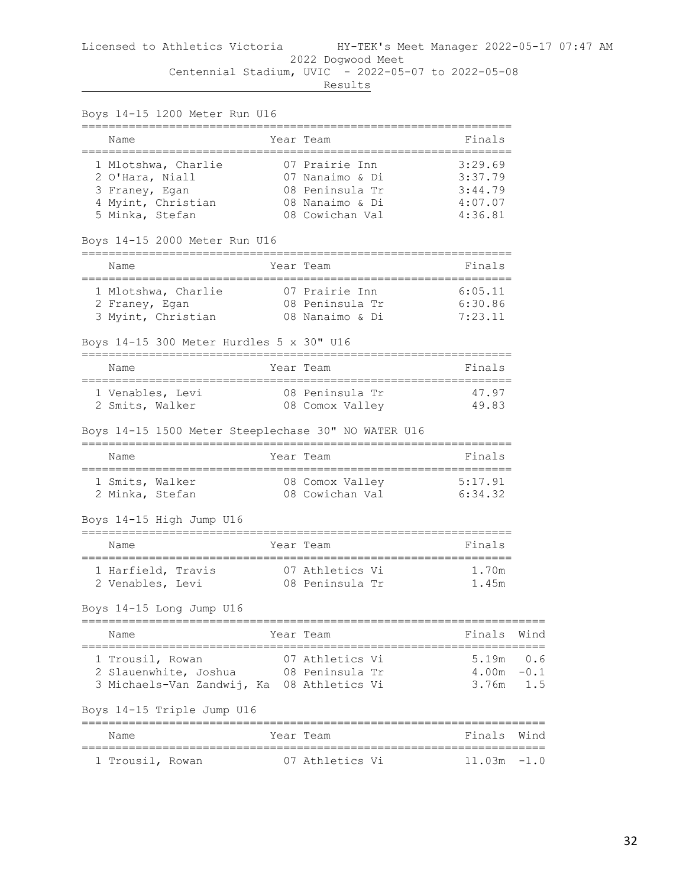| Boys 14-15 1200 Meter Run U16                         |                                                        |                                        |      |
|-------------------------------------------------------|--------------------------------------------------------|----------------------------------------|------|
| Name                                                  | Year Team                                              | Finals                                 |      |
|                                                       |                                                        |                                        |      |
|                                                       |                                                        |                                        |      |
|                                                       |                                                        |                                        |      |
|                                                       |                                                        |                                        |      |
| 5 Minka, Stefan 108 Cowichan Val 1:36.81              |                                                        |                                        |      |
| Boys 14-15 2000 Meter Run U16                         |                                                        |                                        |      |
| Name                                                  | Year Team                                              | Finals                                 |      |
|                                                       |                                                        |                                        |      |
|                                                       |                                                        |                                        |      |
|                                                       |                                                        |                                        |      |
| Boys 14-15 300 Meter Hurdles 5 x 30" U16              |                                                        |                                        |      |
| Name                                                  | Year Team                                              | Finals                                 |      |
|                                                       |                                                        | 47.97                                  |      |
|                                                       |                                                        | 49.83                                  |      |
| Boys 14-15 1500 Meter Steeplechase 30" NO WATER U16   |                                                        |                                        |      |
| Name                                                  | Year Team                                              | Finals                                 |      |
|                                                       |                                                        |                                        |      |
|                                                       |                                                        |                                        |      |
| Boys 14-15 High Jump U16                              |                                                        |                                        |      |
| Name                                                  | Year Team                                              | Finals                                 |      |
| 1 Harfield, Travis 07 Athletics Vi 1.70m              |                                                        |                                        |      |
| 2 Venables, Levi (2008) Peninsula Tr                  |                                                        | 1.45m                                  |      |
| Boys 14-15 Long Jump U16                              |                                                        |                                        |      |
| ;=================================<br>Name            | Year Team                                              | ----------------------------<br>Finals | Wind |
| 1 Trousil, Rowan                                      | 07 Athletics Vi                                        | $5.19m$ 0.6                            |      |
| 2 Slauenwhite, Joshua                                 | 08 Peninsula Tr                                        | $4.00m - 0.1$                          |      |
| 3 Michaels-Van Zandwij, Ka 08 Athletics Vi            |                                                        | $3.76m$ 1.5                            |      |
| Boys 14-15 Triple Jump U16                            |                                                        |                                        |      |
| .=================<br>Name                            | ===============<br>======================<br>Year Team | Finals                                 | Wind |
| ;================================<br>1 Trousil, Rowan | 07 Athletics Vi                                        | $11.03m - 1.0$                         |      |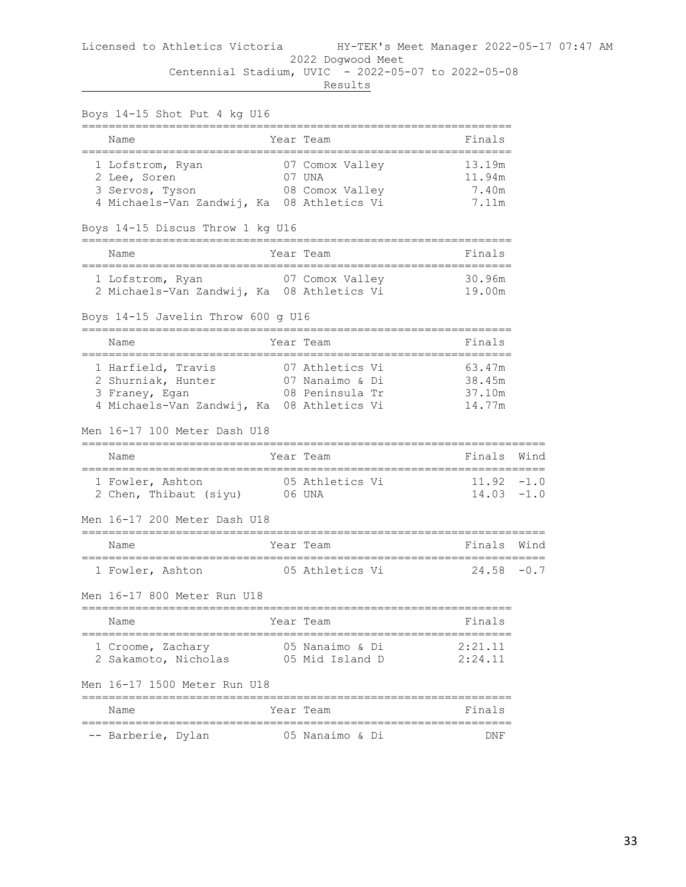| Boys 14-15 Shot Put 4 kg U16<br>-----------------------                                                  |              |                                                       |                                      |        |
|----------------------------------------------------------------------------------------------------------|--------------|-------------------------------------------------------|--------------------------------------|--------|
| Name<br>______________________________                                                                   |              | Year Team                                             | Finals                               |        |
| 1 Lofstrom, Ryan<br>2 Lee, Soren<br>3 Servos, Tyson<br>4 Michaels-Van Zandwij, Ka 08 Athletics Vi        |              | 07 Comox Valley<br>07 UNA<br>08 Comox Valley          | 13.19m<br>11.94m<br>7.40m<br>7.11m   |        |
| Boys 14-15 Discus Throw 1 kg U16                                                                         |              |                                                       |                                      |        |
| Name                                                                                                     |              | Year Team                                             | Finals                               |        |
| 1 Lofstrom, Ryan 67 Comox Valley<br>2 Michaels-Van Zandwij, Ka 08 Athletics Vi                           |              |                                                       | 30.96m<br>19.00m                     |        |
| Boys 14-15 Javelin Throw 600 g U16                                                                       |              |                                                       |                                      |        |
| Name                                                                                                     |              | Year Team                                             | Finals                               |        |
| 1 Harfield, Travis<br>2 Shurniak, Hunter<br>3 Franey, Egan<br>4 Michaels-Van Zandwij, Ka 08 Athletics Vi |              | 07 Athletics Vi<br>07 Nanaimo & Di<br>08 Peninsula Tr | 63.47m<br>38.45m<br>37.10m<br>14.77m |        |
| Men 16-17 100 Meter Dash U18                                                                             |              |                                                       |                                      |        |
| Name                                                                                                     |              | Year Team                                             | Finals                               | Wind   |
| 1 Fowler, Ashton<br>2 Chen, Thibaut (siyu) 06 UNA                                                        |              | 05 Athletics Vi                                       | $11.92 - 1.0$<br>$14.03 - 1.0$       |        |
| Men 16-17 200 Meter Dash U18<br>----------------------------                                             |              |                                                       | --------------------------------     |        |
| Name                                                                                                     |              | Year Team                                             | Finals                               | Wind   |
| 1 Fowler, Ashton                                                                                         | ------------ | 05 Athletics Vi                                       | 24.58                                | $-0.7$ |
| Men 16-17 800 Meter Run U18                                                                              |              |                                                       |                                      |        |
| Name                                                                                                     |              | Year Team                                             | Finals                               |        |
| ;===========================<br>1 Croome, Zachary<br>2 Sakamoto, Nicholas 05 Mid Island D                |              | ;=======================<br>05 Nanaimo & Di           | 2:21.11<br>2:24.11                   |        |
| Men 16-17 1500 Meter Run U18                                                                             |              |                                                       |                                      |        |
| Name                                                                                                     |              | Year Team                                             | Finals                               |        |
| -- Barberie, Dylan                                                                                       |              | 05 Nanaimo & Di                                       | DNF                                  |        |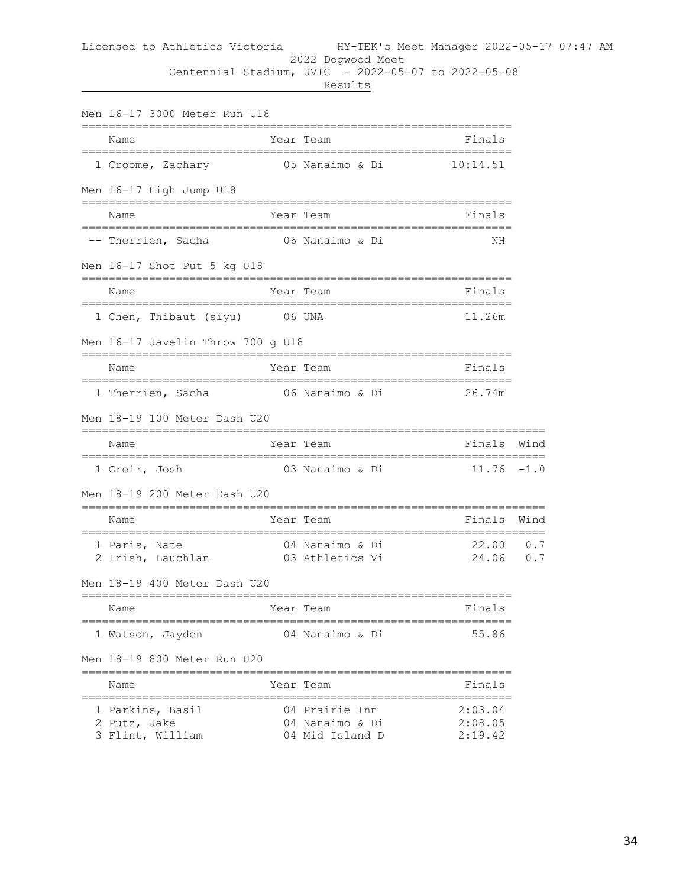|  | Results<br>____ |
|--|-----------------|
|--|-----------------|

| Men 16-17 3000 Meter Run U18                                                 |           |                                                      |                                                                                                                |      |
|------------------------------------------------------------------------------|-----------|------------------------------------------------------|----------------------------------------------------------------------------------------------------------------|------|
| Name                                                                         |           | Year Team                                            | Finals                                                                                                         |      |
| 1 Croome, Zachary 65 Nanaimo & Di 10:14.51                                   |           |                                                      |                                                                                                                |      |
| Men 16-17 High Jump U18                                                      |           |                                                      |                                                                                                                |      |
| Name                                                                         |           | Year Team                                            | Finals                                                                                                         |      |
| -- Therrien, Sacha (16) 06 Nanaimo & Di                                      |           |                                                      | ΝH                                                                                                             |      |
| Men 16-17 Shot Put 5 kg U18                                                  |           |                                                      |                                                                                                                |      |
| Name                                                                         | Year Team |                                                      | Finals                                                                                                         |      |
| 1 Chen, Thibaut (siyu) 06 UNA                                                |           |                                                      | 11.26m                                                                                                         |      |
| Men 16-17 Javelin Throw 700 g U18                                            |           |                                                      |                                                                                                                |      |
| Name                                                                         |           | Year Team                                            | Finals                                                                                                         |      |
|                                                                              |           |                                                      |                                                                                                                |      |
| Men 18-19 100 Meter Dash U20                                                 |           |                                                      |                                                                                                                |      |
| Name                                                                         | Year Team |                                                      | Finals Wind                                                                                                    |      |
| 1 Greir, Josh                                                                |           | 03 Nanaimo & Di                                      | $11.76 - 1.0$                                                                                                  |      |
| Men 18-19 200 Meter Dash U20                                                 |           |                                                      |                                                                                                                |      |
| Name                                                                         | Year Team |                                                      | Finals                                                                                                         | Wind |
| 1 Paris, Nate<br>2 Irish, Lauchlan<br>2 Irish, Lauchlan<br>2 O3 Athletics Vi |           |                                                      | $22.00$ 0.7<br>24.06 0.7                                                                                       |      |
| Men 18-19 400 Meter Dash U20                                                 |           |                                                      |                                                                                                                |      |
| er and the Year Team<br>Name                                                 |           |                                                      | e de la contra de la contra de la contra de la contra de la contra de la contra de la contra de la contra de l |      |
| 1 Watson, Jayden                                                             |           | 04 Nanaimo & Di                                      | 55.86                                                                                                          |      |
| Men 18-19 800 Meter Run U20                                                  |           |                                                      |                                                                                                                |      |
| Name                                                                         |           | Year Team                                            | Finals                                                                                                         |      |
| -----------------<br>1 Parkins, Basil<br>2 Putz, Jake<br>3 Flint, William    |           | 04 Prairie Inn<br>04 Nanaimo & Di<br>04 Mid Island D | 2:03.04<br>2:08.05<br>2:19.42                                                                                  |      |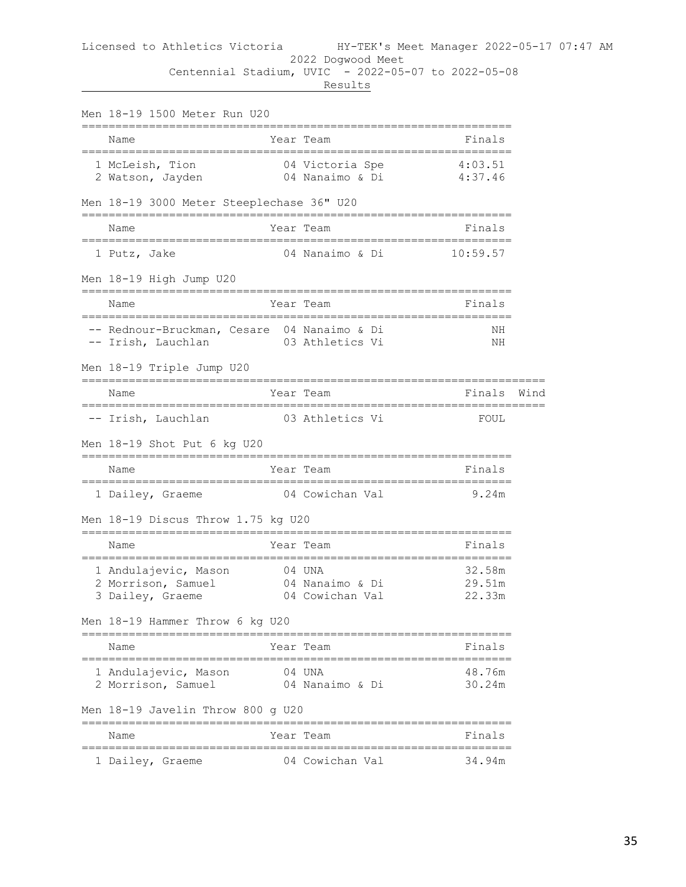| Men 18-19 1500 Meter Run U20                                      |                                              |                            |      |
|-------------------------------------------------------------------|----------------------------------------------|----------------------------|------|
| =========<br>Name                                                 | Year Team                                    | Finals                     |      |
| 1 McLeish, Tion<br>2 Watson, Jayden                               | 04 Victoria Spe 4:03.51<br>04 Nanaimo & Di   | 4:37.46                    |      |
| Men 18-19 3000 Meter Steeplechase 36" U20                         |                                              |                            |      |
| Name                                                              | Year Team                                    | Finals                     |      |
| 1 Putz, Jake                                                      | 04 Nanaimo & Di                              | 10:59.57                   |      |
| Men 18-19 High Jump U20                                           |                                              |                            |      |
| Name<br>======================================                    | Year Team<br>-=============================  | Finals                     |      |
| -- Rednour-Bruckman, Cesare 04 Nanaimo & Di<br>-- Irish, Lauchlan | 03 Athletics Vi                              | NН<br>ΝH                   |      |
| Men 18-19 Triple Jump U20                                         |                                              |                            |      |
| Name                                                              | Year Team                                    | Finals                     | Wind |
| -- Irish, Lauchlan                                                | 03 Athletics Vi                              | FOUL                       |      |
| Men 18-19 Shot Put 6 kg U20                                       |                                              |                            |      |
| Name                                                              | Year Team                                    | Finals                     |      |
| 1 Dailey, Graeme                                                  | 04 Cowichan Val                              | 9.24m                      |      |
| Men 18-19 Discus Throw 1.75 kg U20                                |                                              |                            |      |
| Name                                                              | Year Team                                    | Finals                     |      |
| 1 Andulajevic, Mason<br>2 Morrison, Samuel<br>3 Dailey, Graeme    | 04 UNA<br>04 Nanaimo & Di<br>04 Cowichan Val | 32.58m<br>29.51m<br>22.33m |      |
| Men 18-19 Hammer Throw 6 kg U20                                   |                                              |                            |      |
| Name                                                              | Year Team                                    | Finals                     |      |
| 1 Andulajevic, Mason<br>2 Morrison, Samuel                        | 04 UNA<br>04 Nanaimo & Di                    | 48.76m<br>30.24m           |      |
| Men 18-19 Javelin Throw 800 g U20                                 |                                              |                            |      |
| Name                                                              | Year Team                                    | Finals                     |      |
| 1 Dailey, Graeme                                                  | 04 Cowichan Val                              | 34.94m                     |      |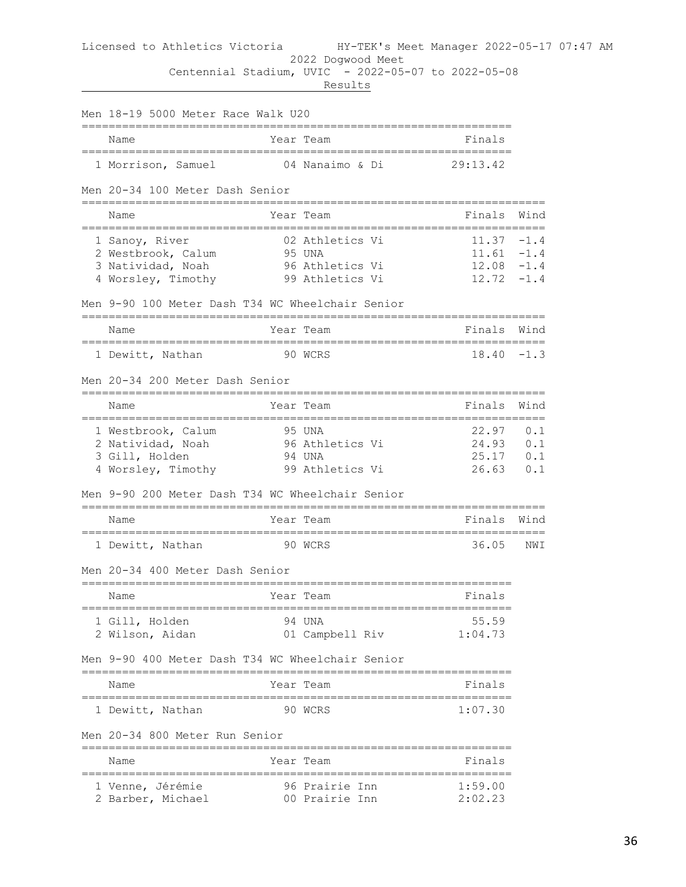#### Licensed to Athletics Victoria HY-TEK's Meet Manager 2022-05-17 07:47 AM 2022 Dogwood Meet

Centennial Stadium, UVIC - 2022-05-07 to 2022-05-08

| Men 18-19 5000 Meter Race Walk U20               |                                    |                |                  |
|--------------------------------------------------|------------------------------------|----------------|------------------|
| Name                                             | Year Team                          | Finals         |                  |
| 1 Morrison, Samuel                               | 04 Nanaimo & Di                    | 29:13.42       |                  |
| Men 20-34 100 Meter Dash Senior                  |                                    |                |                  |
| Name                                             | Year Team                          | Finals         | Wind             |
| 1 Sanoy, River                                   | 02 Athletics Vi                    | 11.37          | $-1.4$           |
| 2 Westbrook, Calum                               | 95 UNA                             | 11.61          | $-1.4$           |
| 3 Natividad, Noah<br>4 Worsley, Timothy          | 96 Athletics Vi<br>99 Athletics Vi | 12.08<br>12.72 | $-1.4$<br>$-1.4$ |
|                                                  |                                    |                |                  |
| Men 9-90 100 Meter Dash T34 WC Wheelchair Senior |                                    |                |                  |
| Name                                             | Year Team                          | Finals         | Wind             |
| 1 Dewitt, Nathan                                 | 90 WCRS                            | 18.40          | $-1.3$           |
| Men 20-34 200 Meter Dash Senior                  |                                    |                |                  |
| Name                                             | Year Team                          | Finals         | Wind             |
| 1 Westbrook, Calum                               | 95 UNA                             | 22.97          | 0.1              |
| 2 Natividad, Noah                                | 96 Athletics Vi                    | 24.93          | 0.1              |
| 3 Gill, Holden                                   | 94 UNA                             | 25.17          | 0.1              |
| 4 Worsley, Timothy                               | 99 Athletics Vi                    | 26.63          | 0.1              |
| Men 9-90 200 Meter Dash T34 WC Wheelchair Senior |                                    |                |                  |
| Name                                             | Year Team                          | Finals         | Wind             |
| 1 Dewitt, Nathan                                 | 90 WCRS                            | 36.05          | NWI              |
| Men 20-34 400 Meter Dash Senior                  |                                    |                |                  |
| Name                                             | Year Team                          | Finals         |                  |
| 1 Gill, Holden                                   | 94 UNA                             | 55.59          |                  |
| 2 Wilson, Aidan                                  | 01 Campbell Riv                    | 1:04.73        |                  |
| Men 9-90 400 Meter Dash T34 WC Wheelchair Senior |                                    |                |                  |
| Name                                             | Year Team                          | Finals         |                  |
| 1 Dewitt, Nathan                                 | 90 WCRS                            | 1:07.30        |                  |
| Men 20-34 800 Meter Run Senior                   |                                    |                |                  |
| ======================================<br>Name   | Year Team                          | Finals         |                  |
| 1 Venne, Jérémie                                 | 96 Prairie Inn                     | 1:59.00        |                  |
| 2 Barber, Michael                                | 00 Prairie Inn                     | 2:02.23        |                  |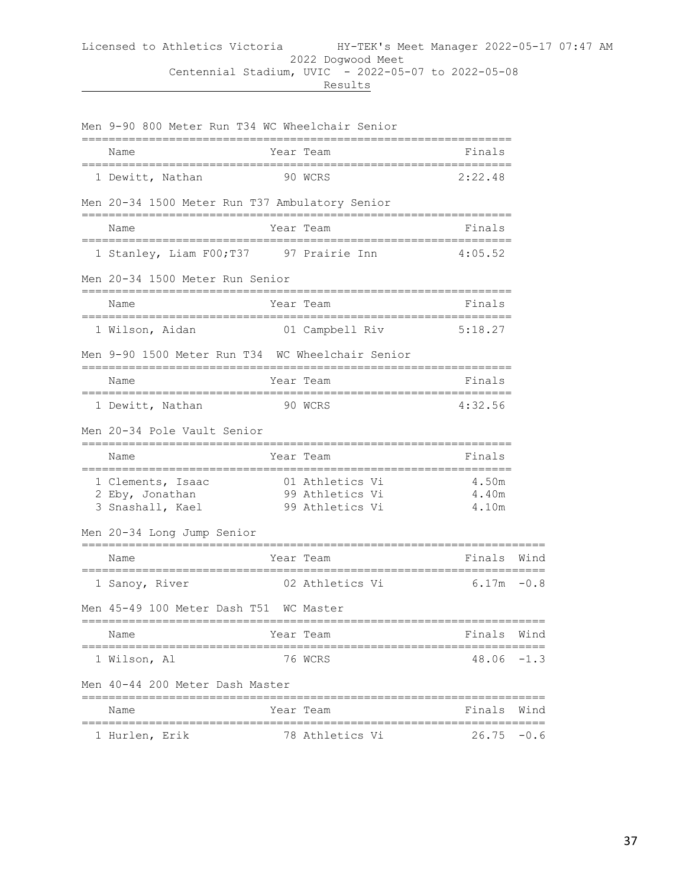|--|--|--|

| Men 9-90 800 Meter Run T34 WC Wheelchair Senior                      |                        |                |          |
|----------------------------------------------------------------------|------------------------|----------------|----------|
| Name                                                                 | Year Team              | Finals         |          |
| 1 Dewitt, Nathan                                                     | 90 WCRS                | 2:22.48        |          |
| Men 20-34 1500 Meter Run T37 Ambulatory Senior                       |                        |                |          |
| Name                                                                 | Year Team              | Finals         |          |
| 1 Stanley, Liam F00; T37 97 Prairie Inn                              |                        | 4:05.52        |          |
| Men 20-34 1500 Meter Run Senior                                      |                        |                |          |
| Name                                                                 | Year Team              | Finals         |          |
| 1 Wilson, Aidan and 1 Campbell Riv 5:18.27                           |                        |                |          |
| Men 9-90 1500 Meter Run T34 WC Wheelchair Senior                     |                        |                |          |
| Name                                                                 | Year Team              | Finals         |          |
| 1 Dewitt, Nathan 90 WCRS                                             |                        | 4:32.56        |          |
| Men 20-34 Pole Vault Senior                                          |                        |                |          |
| Name                                                                 | Year Team              | Finals         |          |
| 1 Clements, Isaac 61 Athletics Vi<br>2 Eby, Jonathan 99 Athletics Vi |                        | 4.50m<br>4.40m |          |
| 3 Snashall, Kael 99 Athletics Vi                                     |                        | 4.10m          |          |
| Men 20-34 Long Jump Senior                                           | ====================== |                |          |
| Name                                                                 | Year Team              | Finals Wind    | ======== |
| 1 Sanoy, River                                                       | 02 Athletics Vi        | $6.17m - 0.8$  |          |
| Men 45-49 100 Meter Dash T51 WC Master                               |                        |                |          |
| Name                                                                 | Year Team              | Finals         | Wind     |
| 1 Wilson, Al                                                         | 76 WCRS                | 48.06          | $-1.3$   |
| Men 40-44 200 Meter Dash Master                                      |                        |                |          |
| Name                                                                 | Year Team              | Finals         | Wind     |
| 1 Hurlen, Erik                                                       | 78 Athletics Vi        | 26.75          | $-0.6$   |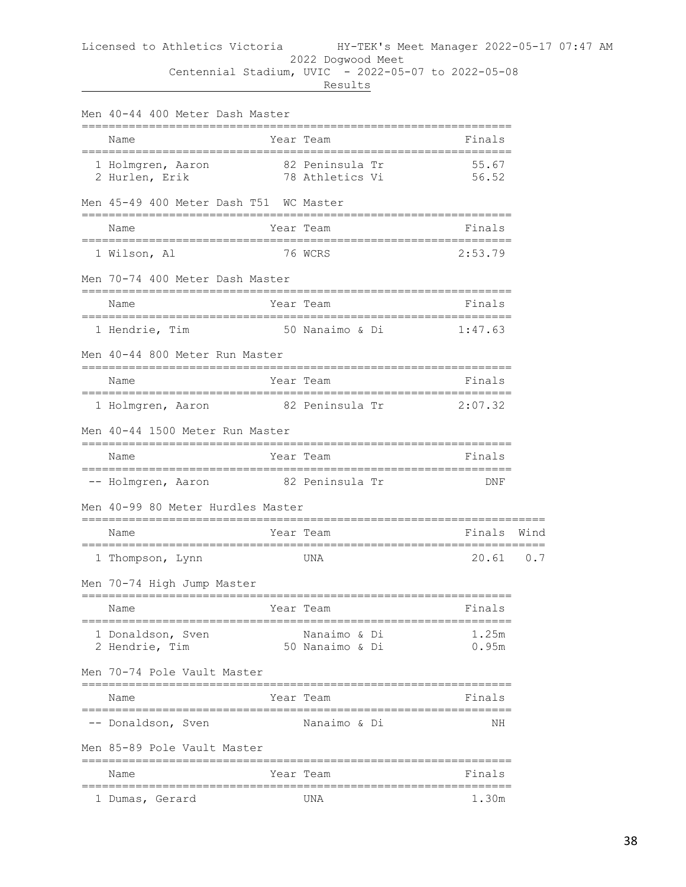| Men 40-44 400 Meter Dash Master                                                  |  |                                        |                          |      |  |  |  |
|----------------------------------------------------------------------------------|--|----------------------------------------|--------------------------|------|--|--|--|
| Name<br>:==========================                                              |  | Year Team                              | Finals                   |      |  |  |  |
| 1 Holmgren, Aaron<br>2 Hurlen, Erik                                              |  | 82 Peninsula Tr<br>78 Athletics Vi     | 55.67<br>56.52           |      |  |  |  |
| Men 45-49 400 Meter Dash T51 WC Master<br>-------------------------------------- |  |                                        | ;======================= |      |  |  |  |
| Name                                                                             |  | Year Team                              | Finals                   |      |  |  |  |
| 1 Wilson, Al                                                                     |  | 76 WCRS                                | 2:53.79                  |      |  |  |  |
| Men 70-74 400 Meter Dash Master                                                  |  |                                        |                          |      |  |  |  |
| Name                                                                             |  | Year Team                              | Finals                   |      |  |  |  |
| 1 Hendrie, Tim                                                                   |  | 50 Nanaimo & Di                        | 1:47.63                  |      |  |  |  |
| Men 40-44 800 Meter Run Master                                                   |  |                                        |                          |      |  |  |  |
| Name<br>=====================================                                    |  | Year Team<br>;======================== | Finals                   |      |  |  |  |
| 1 Holmgren, Aaron                                                                |  | 82 Peninsula Tr 2:07.32                |                          |      |  |  |  |
| Men 40-44 1500 Meter Run Master                                                  |  |                                        |                          |      |  |  |  |
| Name                                                                             |  | Year Team                              | Finals                   |      |  |  |  |
| -- Holmgren, Aaron 62 Peninsula Tr                                               |  |                                        | DNF                      |      |  |  |  |
| Men 40–99 80 Meter Hurdles Master                                                |  |                                        |                          |      |  |  |  |
| Name                                                                             |  | Year Team                              | Finals                   | Wind |  |  |  |
| 1 Thompson, Lynn                                                                 |  | UNA                                    | $20.61$ 0.7              |      |  |  |  |
| Men 70-74 High Jump Master                                                       |  |                                        |                          |      |  |  |  |
| Name                                                                             |  | Year Team The Finals                   |                          |      |  |  |  |
| 1 Donaldson, Sven<br>2 Hendrie, Tim                                              |  | Nanaimo & Di<br>50 Nanaimo & Di        | 1.25m<br>0.95m           |      |  |  |  |
| Men 70-74 Pole Vault Master                                                      |  |                                        |                          |      |  |  |  |
| Name                                                                             |  | Year Team                              | Finals                   |      |  |  |  |
| -- Donaldson, Sven                                                               |  | Nanaimo & Di                           | ΝH                       |      |  |  |  |
| Men 85-89 Pole Vault Master                                                      |  |                                        |                          |      |  |  |  |
| Name                                                                             |  | Year Team                              | Finals                   |      |  |  |  |
| 1 Dumas, Gerard                                                                  |  | UNA                                    | 1.30m                    |      |  |  |  |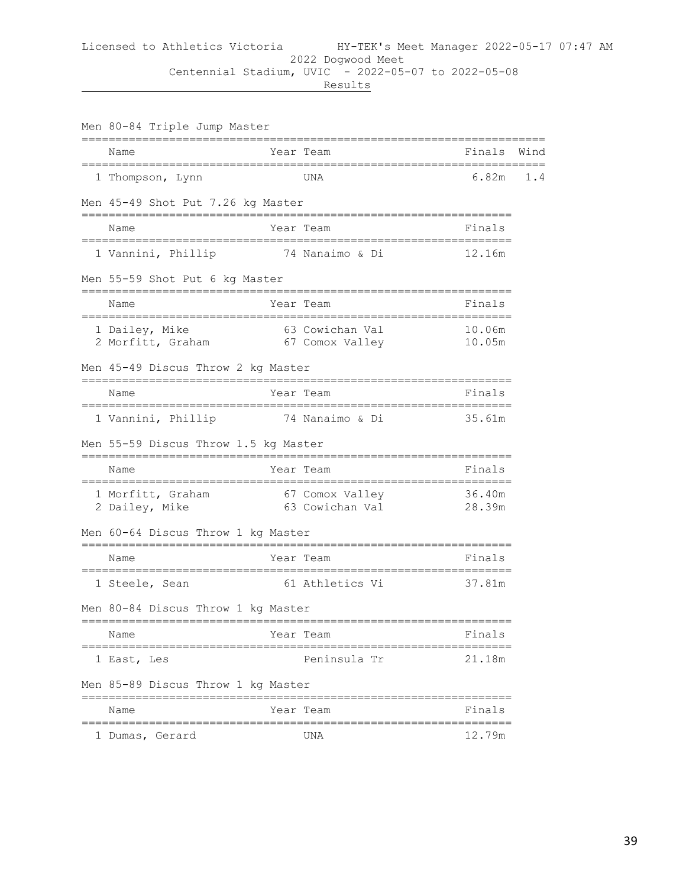|  | Men 80-84 Triple Jump Master                                        |           |                             |                  |      |  |  |  |
|--|---------------------------------------------------------------------|-----------|-----------------------------|------------------|------|--|--|--|
|  | Name                                                                |           | Year Team                   | Finals           | Wind |  |  |  |
|  | 1 Thompson, Lynn                                                    |           | UNA                         | 6.82m            | 1.4  |  |  |  |
|  | Men 45-49 Shot Put 7.26 kg Master                                   |           |                             |                  |      |  |  |  |
|  | Name                                                                |           | Year Team                   | Finals           |      |  |  |  |
|  | 1 Vannini, Phillip 34 Nanaimo & Di                                  |           |                             | 12.16m           |      |  |  |  |
|  | Men 55-59 Shot Put 6 kg Master                                      |           |                             |                  |      |  |  |  |
|  | Name                                                                |           | Year Team                   | Finals           |      |  |  |  |
|  | 1 Dailey, Mike 63 Cowichan Val<br>2 Morfitt, Graham 67 Comox Valley |           |                             | 10.06m<br>10.05m |      |  |  |  |
|  | Men 45-49 Discus Throw 2 kg Master                                  |           |                             |                  |      |  |  |  |
|  | Name                                                                |           | Year Team                   | Finals           |      |  |  |  |
|  | 1 Vannini, Phillip 35.61m                                           | --------- |                             |                  |      |  |  |  |
|  | Men 55-59 Discus Throw 1.5 kg Master                                |           |                             |                  |      |  |  |  |
|  | Name                                                                |           | Year Team                   | Finals           |      |  |  |  |
|  | 1 Morfitt, Graham<br>2 Dailey, Mike                                 |           | 67 Comox Valley 36.40m      |                  |      |  |  |  |
|  | Men 60-64 Discus Throw 1 kg Master                                  |           |                             |                  |      |  |  |  |
|  | Name                                                                |           | Year Team                   | Finals           |      |  |  |  |
|  | 1 Steele, Sean                                                      |           | 61 Athletics Vi             | 37.81m           |      |  |  |  |
|  | Men 80-84 Discus Throw 1 kg Master                                  |           |                             |                  |      |  |  |  |
|  | Name                                                                |           | Year Team                   | Finals           |      |  |  |  |
|  | 1 East, Les                                                         |           | Peninsula Tr                | 21.18m           |      |  |  |  |
|  | Men 85-89 Discus Throw 1 kg Master                                  |           |                             |                  |      |  |  |  |
|  | Name                                                                |           | -------------<br>Year Team  | Finals           |      |  |  |  |
|  | 1 Dumas, Gerard                                                     |           | ====================<br>UNA | 12.79m           |      |  |  |  |